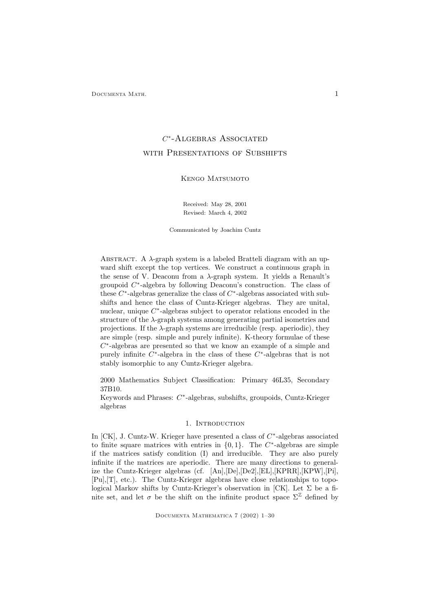# $C^*$ -Algebras Associated WITH PRESENTATIONS OF SUBSHIFTS

# Kengo Matsumoto

Received: May 28, 2001 Revised: March 4, 2002

Communicated by Joachim Cuntz

ABSTRACT. A  $\lambda$ -graph system is a labeled Bratteli diagram with an upward shift except the top vertices. We construct a continuous graph in the sense of V. Deaconu from a  $\lambda$ -graph system. It yields a Renault's groupoid C ∗ -algebra by following Deaconu's construction. The class of these  $C^*$ -algebras generalize the class of  $C^*$ -algebras associated with subshifts and hence the class of Cuntz-Krieger algebras. They are unital, nuclear, unique C<sup>\*</sup>-algebras subject to operator relations encoded in the structure of the  $\lambda$ -graph systems among generating partial isometries and projections. If the  $\lambda$ -graph systems are irreducible (resp. aperiodic), they are simple (resp. simple and purely infinite). K-theory formulae of these  $C^*$ -algebras are presented so that we know an example of a simple and purely infinite  $C^*$ -algebra in the class of these  $C^*$ -algebras that is not stably isomorphic to any Cuntz-Krieger algebra.

2000 Mathematics Subject Classification: Primary 46L35, Secondary 37B10.

Keywords and Phrases: C<sup>\*</sup>-algebras, subshifts, groupoids, Cuntz-Krieger algebras

#### 1. INTRODUCTION

In [CK], J. Cuntz-W. Krieger have presented a class of  $C^*$ -algebras associated to finite square matrices with entries in  $\{0,1\}$ . The  $C^*$ -algebras are simple if the matrices satisfy condition (I) and irreducible. They are also purely infinite if the matrices are aperiodic. There are many directions to generalize the Cuntz-Krieger algebras (cf. [An],[De],[De2],[EL],[KPRR],[KPW],[Pi], [Pu],[T], etc.). The Cuntz-Krieger algebras have close relationships to topological Markov shifts by Cuntz-Krieger's observation in [CK]. Let  $\Sigma$  be a finite set, and let  $\sigma$  be the shift on the infinite product space  $\Sigma^{\mathbb{Z}}$  defined by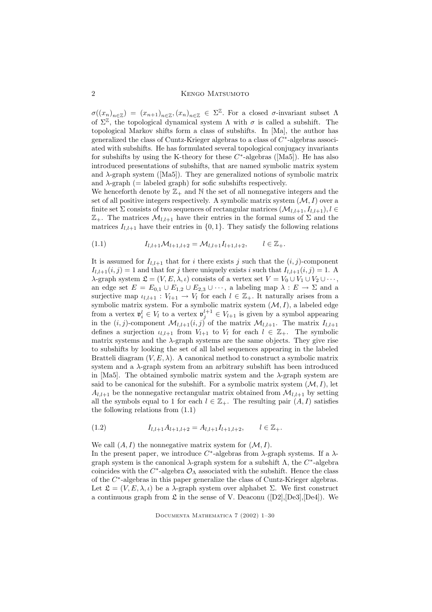2 Kengo Matsumoto

 $\sigma((x_n)_{n\in\mathbb{Z}}) = (x_{n+1})_{n\in\mathbb{Z}}, (x_n)_{n\in\mathbb{Z}} \in \Sigma^{\mathbb{Z}}$ . For a closed  $\sigma$ -invariant subset  $\Lambda$ of  $\Sigma^{\mathbb{Z}}$ , the topological dynamical system  $\Lambda$  with  $\sigma$  is called a subshift. The topological Markov shifts form a class of subshifts. In [Ma], the author has generalized the class of Cuntz-Krieger algebras to a class of  $C^*$ -algebras associated with subshifts. He has formulated several topological conjugacy invariants for subshifts by using the K-theory for these  $C^*$ -algebras ([Ma5]). He has also introduced presentations of subshifts, that are named symbolic matrix system and  $\lambda$ -graph system ([Ma5]). They are generalized notions of symbolic matrix and  $\lambda$ -graph (= labeled graph) for sofic subshifts respectively.

We henceforth denote by  $\mathbb{Z}_+$  and  $\mathbb N$  the set of all nonnegative integers and the set of all positive integers respectively. A symbolic matrix system  $(M, I)$  over a finite set  $\Sigma$  consists of two sequences of rectangular matrices  $(\mathcal{M}_{l,l+1}, I_{l,l+1}), l \in$  $\mathbb{Z}_+$ . The matrices  $\mathcal{M}_{l,l+1}$  have their entries in the formal sums of  $\Sigma$  and the matrices  $I_{l,l+1}$  have their entries in  $\{0,1\}$ . They satisfy the following relations

$$
(1.1) \t I_{l,l+1} \mathcal{M}_{l+1,l+2} = \mathcal{M}_{l,l+1} I_{l+1,l+2}, \t l \in \mathbb{Z}_+.
$$

It is assumed for  $I_{l,l+1}$  that for i there exists j such that the  $(i, j)$ -component  $I_{l,l+1}(i,j) = 1$  and that for j there uniquely exists i such that  $I_{l,l+1}(i,j) = 1$ . A  $\lambda$ -graph system  $\mathfrak{L} = (V, E, \lambda, \iota)$  consists of a vertex set  $V = V_0 \cup V_1 \cup V_2 \cup \cdots$ , an edge set  $E = E_{0,1} \cup E_{1,2} \cup E_{2,3} \cup \cdots$ , a labeling map  $\lambda : E \to \Sigma$  and a surjective map  $\iota_{l,l+1} : V_{l+1} \to V_l$  for each  $l \in \mathbb{Z}_+$ . It naturally arises from a symbolic matrix system. For a symbolic matrix system  $(M, I)$ , a labeled edge from a vertex  $\mathfrak{v}_i^l \in V_l$  to a vertex  $\mathfrak{v}_j^{l+1} \in V_{l+1}$  is given by a symbol appearing in the  $(i, j)$ -component  $\mathcal{M}_{l,l+1}(i, j)$  of the matrix  $\mathcal{M}_{l,l+1}$ . The matrix  $I_{l,l+1}$ defines a surjection  $\iota_{l,l+1}$  from  $V_{l+1}$  to  $V_l$  for each  $l \in \mathbb{Z}_+$ . The symbolic matrix systems and the  $\lambda$ -graph systems are the same objects. They give rise to subshifts by looking the set of all label sequences appearing in the labeled Bratteli diagram  $(V, E, \lambda)$ . A canonical method to construct a symbolic matrix system and a  $\lambda$ -graph system from an arbitrary subshift has been introduced in [Ma5]. The obtained symbolic matrix system and the  $\lambda$ -graph system are said to be canonical for the subshift. For a symbolic matrix system  $(M, I)$ , let  $A_{l,l+1}$  be the nonnegative rectangular matrix obtained from  $\mathcal{M}_{l,l+1}$  by setting all the symbols equal to 1 for each  $l \in \mathbb{Z}_+$ . The resulting pair  $(A, I)$  satisfies the following relations from (1.1)

$$
(1.2) \t I_{l,l+1}A_{l+1,l+2} = A_{l,l+1}I_{l+1,l+2}, \t l \in \mathbb{Z}_+.
$$

We call  $(A, I)$  the nonnegative matrix system for  $(M, I)$ .

In the present paper, we introduce  $C^*$ -algebras from  $\lambda$ -graph systems. If a  $\lambda$ graph system is the canonical  $\lambda$ -graph system for a subshift  $\Lambda$ , the  $C^*$ -algebra coincides with the  $C^*$ -algebra  $\mathcal{O}_{\Lambda}$  associated with the subshift. Hence the class of the C ∗ -algebras in this paper generalize the class of Cuntz-Krieger algebras. Let  $\mathfrak{L} = (V, E, \lambda, \iota)$  be a  $\lambda$ -graph system over alphabet  $\Sigma$ . We first construct a continuous graph from  $\mathfrak L$  in the sense of V. Deaconu ([D2], [De3], [De4]). We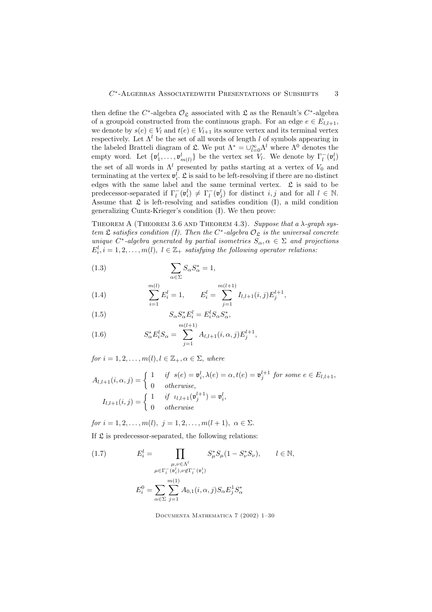then define the  $C^*$ -algebra  $\mathcal{O}_{\mathfrak{L}}$  associated with  $\mathfrak{L}$  as the Renault's  $C^*$ -algebra of a groupoid constructed from the continuous graph. For an edge  $e \in E_{l,l+1}$ , we denote by  $s(e) \in V_l$  and  $t(e) \in V_{l+1}$  its source vertex and its terminal vertex respectively. Let  $\Lambda^l$  be the set of all words of length l of symbols appearing in the labeled Bratteli diagram of  $\mathfrak{L}$ . We put  $\Lambda^* = \bigcup_{l=0}^{\infty} \Lambda^l$  where  $\Lambda^0$  denotes the empty word. Let  $\{\mathbf{v}_1^l, \ldots, \mathbf{v}_{m(l)}^l\}$  be the vertex set  $V_l$ . We denote by  $\Gamma_l^-(\mathbf{v}_i^l)$ the set of all words in  $\Lambda^l$  presented by paths starting at a vertex of  $V_0$  and terminating at the vertex  $v_i^l$ .  $\mathfrak L$  is said to be left-resolving if there are no distinct edges with the same label and the same terminal vertex.  $\mathfrak L$  is said to be predecessor-separated if  $\Gamma_l^-(\mathfrak{v}_i^l) \neq \Gamma_l^-(\mathfrak{v}_j^l)$  for distinct  $i, j$  and for all  $l \in \mathbb{N}$ . Assume that  $\mathfrak L$  is left-resolving and satisfies condition (I), a mild condition generalizing Cuntz-Krieger's condition (I). We then prove:

THEOREM A (THEOREM 3.6 AND THEOREM 4.3). Suppose that a  $\lambda$ -graph system  $\mathfrak L$  satisfies condition (I). Then the C<sup>\*</sup>-algebra  $\mathcal O_{\mathfrak L}$  is the universal concrete unique  $C^*$ -algebra generated by partial isometries  $S_\alpha, \alpha \in \Sigma$  and projections  $E_i^l, i = 1, 2, \ldots, m(l), \ l \in \mathbb{Z}_+$  satisfying the following operator relations:

(1.3) 
$$
\sum_{\alpha \in \Sigma} S_{\alpha} S_{\alpha}^* = 1,
$$

(1.4) 
$$
\sum_{i=1}^{m(l)} E_i^l = 1, \qquad E_i^l = \sum_{j=1}^{m(l+1)} I_{l,l+1}(i,j) E_j^{l+1},
$$

(1.5) 
$$
S_{\alpha} S_{\alpha}^* E_i^l = E_i^l S_{\alpha} S_{\alpha}^*,
$$

(1.6) 
$$
S_{\alpha}^* E_i^l S_{\alpha} = \sum_{j=1}^{m(l+1)} A_{l,l+1}(i,\alpha,j) E_j^{l+1},
$$

for  $i = 1, 2, \ldots, m(l), l \in \mathbb{Z}_+, \alpha \in \Sigma$ , where

$$
A_{l,l+1}(i,\alpha,j) = \begin{cases} 1 & \text{if } s(e) = \mathfrak{v}_i^l, \lambda(e) = \alpha, t(e) = \mathfrak{v}_j^{l+1} \text{ for some } e \in E_{l,l+1}, \\ 0 & \text{otherwise}, \end{cases}
$$

$$
I_{l,l+1}(i,j) = \begin{cases} 1 & \text{if } \iota_{l,l+1}(\mathfrak{v}_j^{l+1}) = \mathfrak{v}_i^l, \\ 0 & \text{otherwise} \end{cases}
$$

for  $i = 1, 2, ..., m(l), j = 1, 2, ..., m(l + 1), \alpha \in \Sigma$ .

If  $\mathfrak L$  is predecessor-separated, the following relations:

(1.7) 
$$
E_{i}^{l} = \prod_{\substack{\mu,\nu \in \Lambda^{l} \\ \mu \in \Gamma_{l}^{-}(\mathfrak{v}_{i}^{l}), \nu \notin \Gamma_{l}^{-}(\mathfrak{v}_{i}^{l})}} S_{\mu}^{*} S_{\mu} (1 - S_{\nu}^{*} S_{\nu}), \qquad l \in \mathbb{N},
$$

$$
E_{i}^{0} = \sum_{\alpha \in \Sigma} \sum_{j=1}^{m(1)} A_{0,1} (i, \alpha, j) S_{\alpha} E_{j}^{1} S_{\alpha}^{*}
$$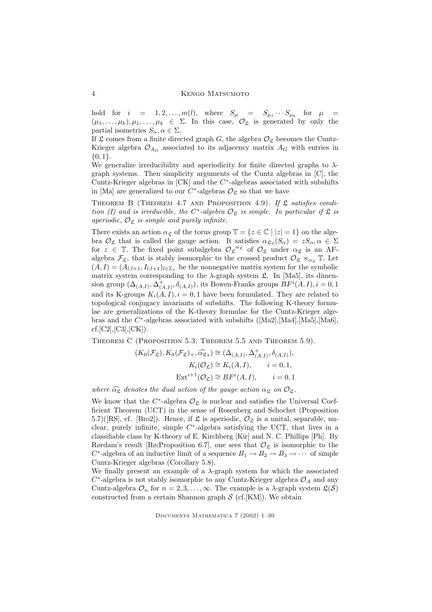#### 4 Kengo Matsumoto

hold for  $i = 1, 2, ..., m(l)$ , where  $S_{\mu} = S_{\mu_1} \cdots S_{\mu_k}$  for  $\mu$  =  $(\mu_1, \ldots, \mu_k), \mu_1, \ldots, \mu_k \in \Sigma$ . In this case,  $\mathcal{O}_{\mathfrak{L}}$  is generated by only the partial isometries  $S_{\alpha}, \alpha \in \Sigma$ .

If  $\mathfrak L$  comes from a finite directed graph G, the algebra  $\mathcal O_{\mathfrak L}$  becomes the Cuntz-Krieger algebra  $\mathcal{O}_{A_G}$  associated to its adjacency matrix  $A_G$  with entries in {0, 1}.

We generalize irreducibility and aperiodicity for finite directed graphs to  $\lambda$ graph systems. Then simplicity arguments of the Cuntz algebras in [C], the Cuntz-Krieger algebras in  $[CK]$  and the  $C^*$ -algebras associated with subshifts in [Ma] are generalized to our  $C^*$ -algebras  $\mathcal{O}_{\mathfrak{L}}$  so that we have

THEOREM B (THEOREM 4.7 AND PROPOSITION 4.9). If  $\mathfrak L$  satisfies condition (I) and is irreducible, the C<sup>\*</sup>-algebra  $\mathcal{O}_{\mathfrak{L}}$  is simple. In particular if  $\mathfrak{L}$  is aperiodic,  $\mathcal{O}_{\mathfrak{L}}$  is simple and purely infinite.

There exists an action  $\alpha_{\mathfrak{L}}$  of the torus group  $\mathbb{T} = \{z \in \mathbb{C} \mid |z| = 1\}$  on the algebra  $\mathcal{O}_{\mathfrak{L}}$  that is called the gauge action. It satisfies  $\alpha_{\mathfrak{L}z}(S_{\alpha}) = zS_{\alpha}, \alpha \in \Sigma$ for  $z \in \mathbb{T}$ . The fixed point subalgebra  $\mathcal{O}_{\mathfrak{L}}^{\alpha_{\mathfrak{L}}}$  of  $\mathcal{O}_{\mathfrak{L}}$  under  $\alpha_{\mathfrak{L}}$  is an AFalgebra  $\mathcal{F}_{\mathfrak{L}}$ , that is stably isomorphic to the crossed product  $\mathcal{O}_{\mathfrak{L}} \rtimes_{\alpha_{\mathfrak{L}}} \mathbb{T}$ . Let  $(A, I) = (A_{l,l+1}, I_{l,l+1})_{l \in \mathbb{Z}_+}$  be the nonnegative matrix system for the symbolic matrix system corresponding to the  $\lambda$ -graph system  $\mathfrak{L}$ . In [Ma5], its dimension group  $(\Delta_{(A,I)}, \Delta^+_{(A,I)}, \delta_{(A,I)}),$  its Bowen-Franks groups  $BF^i(A,I), i = 0, 1$ and its K-groups  $K_i(A, I), i = 0, 1$  have been formulated. They are related to topological conjugacy invariants of subshifts. The following K-theory formulae are generalizations of the K-theory formulae for the Cuntz-Krieger algebras and the  $C^*$ -algebras associated with subshifts ([Ma2],[Ma4],[Ma5],[Ma6],  $cf.[C2],[C3],[CK]).$ 

Theorem C (Proposition 5.3, Theorem 5.5 and Theorem 5.9).

$$
(K_0(\mathcal{F}_\mathfrak{L}), K_0(\mathcal{F}_\mathfrak{L})_+, \widehat{\alpha_{\mathfrak{L}}} _*) \cong (\Delta_{(A,I)}, \Delta^+_{(A,I)}, \delta_{(A,I)}),
$$
  
\n
$$
K_i(\mathcal{O}_\mathfrak{L}) \cong K_i(A,I), \qquad i = 0, 1,
$$
  
\n
$$
\text{Ext}^{i+1}(\mathcal{O}_\mathfrak{L}) \cong BF^i(A,I), \qquad i = 0, 1
$$

where  $\widehat{\alpha_{\mathfrak{L}}}$  denotes the dual action of the gauge action  $\alpha_{\mathfrak{L}}$  on  $\mathcal{O}_{\mathfrak{L}}$ .

We know that the  $C^*$ -algebra  $\mathcal{O}_{\mathfrak{L}}$  is nuclear and satisfies the Universal Coefficient Theorem (UCT) in the sense of Rosenberg and Schochet (Proposition 5.7)([RS], cf. [Bro2]). Hence, if  $\mathfrak L$  is aperiodic,  $\mathcal O_{\mathfrak L}$  is a unital, separable, nuclear, purely infinite, simple  $C^*$ -algebra satisfying the UCT, that lives in a classifiable class by K-theory of E. Kirchberg [Kir] and N. C. Phillips [Ph]. By Rørdam's result [Rø;Proposition 6.7], one sees that  $\mathcal{O}_{\mathfrak{L}}$  is isomorphic to the  $C^*$ -algebra of an inductive limit of a sequence  $B_1 \to B_2 \to B_3 \to \cdots$  of simple Cuntz-Krieger algebras (Corollary 5.8).

We finally present an example of a  $\lambda$ -graph system for which the associated  $C^*$ -algebra is not stably isomorphic to any Cuntz-Krieger algebra  $\mathcal{O}_A$  and any Cuntz-algebra  $\mathcal{O}_n$  for  $n = 2, 3, ..., \infty$ . The example is a  $\lambda$ -graph system  $\mathfrak{L}(\mathcal{S})$ constructed from a certain Shannon graph  $S$  (cf. [KM]). We obtain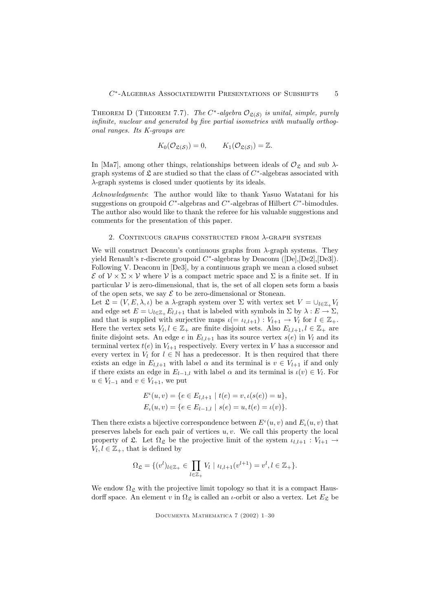THEOREM D (THEOREM 7.7). The  $C^*$ -algebra  $\mathcal{O}_{\mathfrak{L}(\mathcal{S})}$  is unital, simple, purely infinite, nuclear and generated by five partial isometries with mutually orthogonal ranges. Its K-groups are

$$
K_0(\mathcal{O}_{\mathfrak{L}(\mathcal{S})}) = 0, \qquad K_1(\mathcal{O}_{\mathfrak{L}(\mathcal{S})}) = \mathbb{Z}.
$$

In [Ma7], among other things, relationships between ideals of  $\mathcal{O}_{\mathfrak{L}}$  and sub  $\lambda$ graph systems of  $\mathfrak L$  are studied so that the class of  $C^*$ -algebras associated with  $\lambda$  graph systems is closed under quotients by its ideals.

Acknowledgments: The author would like to thank Yasuo Watatani for his suggestions on groupoid  $C^*$ -algebras and  $C^*$ -algebras of Hilbert  $C^*$ -bimodules. The author also would like to thank the referee for his valuable suggestions and comments for the presentation of this paper.

#### 2. CONTINUOUS GRAPHS CONSTRUCTED FROM  $\lambda$ -GRAPH SYSTEMS

We will construct Deaconu's continuous graphs from  $\lambda$ -graph systems. They yield Renault's r-discrete groupoid  $C^*$ -algebras by Deaconu ([De],[De2],[De3]). Following V. Deaconu in [De3], by a continuous graph we mean a closed subset  $\mathcal E$  of  $\mathcal V \times \Sigma \times \mathcal V$  where  $\mathcal V$  is a compact metric space and  $\Sigma$  is a finite set. If in particular  $V$  is zero-dimensional, that is, the set of all clopen sets form a basis of the open sets, we say  $\mathcal E$  to be zero-dimensional or Stonean.

Let  $\mathfrak{L} = (V, E, \lambda, \iota)$  be a  $\lambda$ -graph system over  $\Sigma$  with vertex set  $V = \bigcup_{l \in \mathbb{Z}_+} V_l$ and edge set  $E = \bigcup_{l \in \mathbb{Z}_+} E_{l,l+1}$  that is labeled with symbols in  $\Sigma$  by  $\lambda : E \to \Sigma$ , and that is supplied with surjective maps  $\iota(= \iota_{l,l+1}) : V_{l+1} \to V_l$  for  $l \in \mathbb{Z}_+$ . Here the vertex sets  $V_l, l \in \mathbb{Z}_+$  are finite disjoint sets. Also  $E_{l,l+1}, l \in \mathbb{Z}_+$  are finite disjoint sets. An edge e in  $E_{l,l+1}$  has its source vertex  $s(e)$  in  $V_l$  and its terminal vertex  $t(e)$  in  $V_{l+1}$  respectively. Every vertex in V has a successor and every vertex in  $V_l$  for  $l \in \mathbb{N}$  has a predecessor. It is then required that there exists an edge in  $E_{l,l+1}$  with label  $\alpha$  and its terminal is  $v \in V_{l+1}$  if and only if there exists an edge in  $E_{l-1,l}$  with label  $\alpha$  and its terminal is  $\iota(v) \in V_l$ . For  $u \in V_{l-1}$  and  $v \in V_{l+1}$ , we put

$$
E^{i}(u, v) = \{e \in E_{l,l+1} \mid t(e) = v, \iota(s(e)) = u\},
$$
  

$$
E_{i}(u, v) = \{e \in E_{l-1,l} \mid s(e) = u, t(e) = \iota(v)\}.
$$

Then there exists a bijective correspondence between  $E^{\iota}(u, v)$  and  $E_{\iota}(u, v)$  that preserves labels for each pair of vertices  $u, v$ . We call this property the local property of  $\mathfrak{L}$ . Let  $\Omega_{\mathfrak{L}}$  be the projective limit of the system  $\iota_{l,l+1}: V_{l+1} \to$  $V_l, l \in \mathbb{Z}_+$ , that is defined by

$$
\Omega_{\mathfrak{L}} = \{ (v^l)_{l \in \mathbb{Z}_+} \in \prod_{l \in \mathbb{Z}_+} V_l \mid \iota_{l,l+1}(v^{l+1}) = v^l, l \in \mathbb{Z}_+ \}.
$$

We endow  $\Omega_{\mathcal{L}}$  with the projective limit topology so that it is a compact Hausdorff space. An element v in  $\Omega_{\mathfrak{L}}$  is called an *ι*-orbit or also a vertex. Let  $E_{\mathfrak{L}}$  be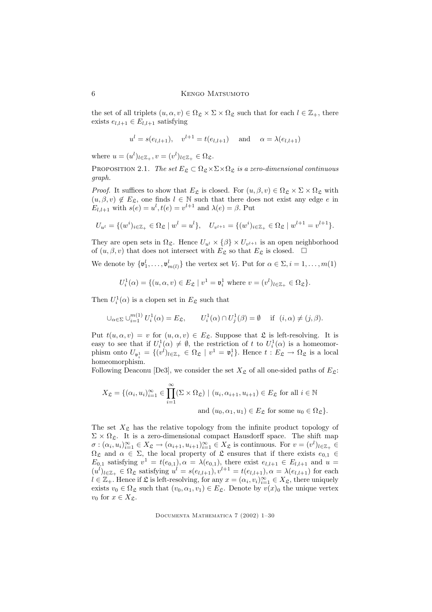the set of all triplets  $(u, \alpha, v) \in \Omega_{\mathfrak{L}} \times \Sigma \times \Omega_{\mathfrak{L}}$  such that for each  $l \in \mathbb{Z}_+$ , there exists  $e_{l,l+1} \in E_{l,l+1}$  satisfying

$$
u^{l} = s(e_{l,l+1}), \quad v^{l+1} = t(e_{l,l+1})
$$
 and  $\alpha = \lambda(e_{l,l+1})$ 

where  $u = (u^l)_{l \in \mathbb{Z}_+}, v = (v^l)_{l \in \mathbb{Z}_+} \in \Omega_{\mathfrak{L}}.$ 

PROPOSITION 2.1. The set  $E_{\mathfrak{L}} \subset \Omega_{\mathfrak{L}} \times \Sigma \times \Omega_{\mathfrak{L}}$  is a zero-dimensional continuous graph.

*Proof.* It suffices to show that  $E_{\mathcal{L}}$  is closed. For  $(u, \beta, v) \in \Omega_{\mathcal{L}} \times \Sigma \times \Omega_{\mathcal{L}}$  with  $(u, \beta, v) \notin E_{\mathfrak{L}}$ , one finds  $l \in \mathbb{N}$  such that there does not exist any edge e in  $E_{l,l+1}$  with  $s(e) = u^l, t(e) = v^{l+1}$  and  $\lambda(e) = \beta$ . Put

$$
U_{u^l} = \{ (w^i)_{i \in \mathbb{Z}_+} \in \Omega_{\mathfrak{L}} \mid w^l = u^l \}, \quad U_{v^{l+1}} = \{ (w^i)_{i \in \mathbb{Z}_+} \in \Omega_{\mathfrak{L}} \mid w^{l+1} = v^{l+1} \}.
$$

They are open sets in  $\Omega_{\mathfrak{L}}$ . Hence  $U_{u^l} \times {\{\beta\}} \times U_{v^{l+1}}$  is an open neighborhood of  $(u, \beta, v)$  that does not intersect with  $E_{\mathfrak{L}}$  so that  $E_{\mathfrak{L}}$  is closed.  $\Box$ 

We denote by  $\{\mathfrak{v}_1^l, \ldots, \mathfrak{v}_{m(l)}^l\}$  the vertex set  $V_l$ . Put for  $\alpha \in \Sigma, i = 1, \ldots, m(1)$ 

$$
U_i^1(\alpha) = \{ (u, \alpha, v) \in E_{\mathfrak{L}} \mid v^1 = \mathfrak{v}_i^1 \text{ where } v = (v^l)_{l \in \mathbb{Z}_+} \in \Omega_{\mathfrak{L}} \}.
$$

Then  $U_i^1(\alpha)$  is a clopen set in  $E_{\mathfrak{L}}$  such that

$$
\bigcup_{\alpha \in \Sigma} \bigcup_{i=1}^{m(1)} U_i^1(\alpha) = E_{\mathfrak{L}}, \qquad U_i^1(\alpha) \cap U_j^1(\beta) = \emptyset \quad \text{if } (i, \alpha) \neq (j, \beta).
$$

Put  $t(u, \alpha, v) = v$  for  $(u, \alpha, v) \in E_{\mathfrak{L}}$ . Suppose that  $\mathfrak{L}$  is left-resolving. It is easy to see that if  $U_i^1(\alpha) \neq \emptyset$ , the restriction of t to  $U_i^1(\alpha)$  is a homeomorphism onto  $U_{\mathfrak{v}_i^1} = \{(v^l)_{l \in \mathbb{Z}_+} \in \Omega_{\mathfrak{L}} \mid v^1 = \mathfrak{v}_i^1\}$ . Hence  $t : E_{\mathfrak{L}} \to \Omega_{\mathfrak{L}}$  is a local homeomorphism.

Following Deaconu [De3], we consider the set  $X_{\mathfrak{L}}$  of all one-sided paths of  $E_{\mathfrak{L}}$ :

$$
X_{\mathfrak{L}} = \{ (\alpha_i, u_i)_{i=1}^{\infty} \in \prod_{i=1}^{\infty} (\Sigma \times \Omega_{\mathfrak{L}}) \mid (u_i, \alpha_{i+1}, u_{i+1}) \in E_{\mathfrak{L}} \text{ for all } i \in \mathbb{N}
$$
  
and  $(u_0, \alpha_1, u_1) \in E_{\mathfrak{L}} \text{ for some } u_0 \in \Omega_{\mathfrak{L}} \}.$ 

The set  $X_{\mathfrak{L}}$  has the relative topology from the infinite product topology of  $\Sigma \times \Omega_{\mathfrak{L}}$ . It is a zero-dimensional compact Hausdorff space. The shift map  $\sigma: (\alpha_i, u_i)_{i=1}^{\infty} \in X_{\mathfrak{L}} \to (\alpha_{i+1}, u_{i+1})_{i=1}^{\infty} \in X_{\mathfrak{L}}$  is continuous. For  $v = (v^l)_{l \in \mathbb{Z}_+} \in$  $\Omega_{\mathfrak{L}}$  and  $\alpha \in \Sigma$ , the local property of  $\mathfrak{L}$  ensures that if there exists  $e_{0,1} \in$  $E_{0,1}$  satisfying  $v^1 = t(e_{0,1}), \alpha = \lambda(e_{0,1}),$  there exist  $e_{l,l+1} \in E_{l,l+1}$  and  $u =$  $(u^l)_{l \in \mathbb{Z}_+} \in \Omega_{\mathfrak{L}}$  satisfying  $u^l = s(e_{l,l+1}), v^{l+1} = t(e_{l,l+1}), \alpha = \lambda(e_{l,l+1})$  for each  $l \in \mathbb{Z}_+$ . Hence if  $\mathfrak L$  is left-resolving, for any  $x = (\alpha_i, v_i)_{i=1}^\infty \in X_{\mathfrak L}$ , there uniquely exists  $v_0 \in \Omega_{\mathfrak{L}}$  such that  $(v_0, \alpha_1, v_1) \in E_{\mathfrak{L}}$ . Denote by  $v(x)_0$  the unique vertex  $v_0$  for  $x \in X_{\mathfrak{L}}$ .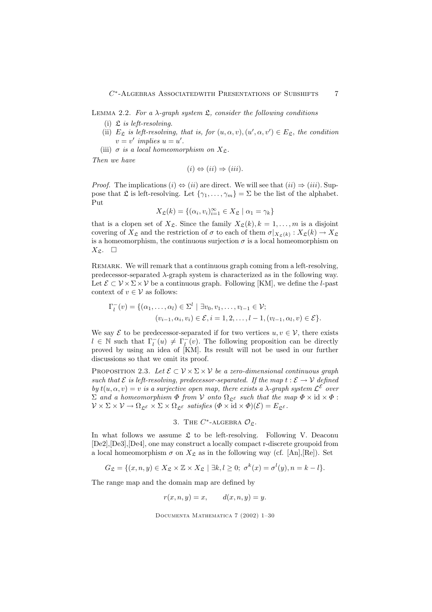LEMMA 2.2. For a  $\lambda$ -graph system  $\mathfrak{L}$ , consider the following conditions

- (i)  $\mathfrak L$  is left-resolving.
- (ii)  $E_{\mathfrak{L}}$  is left-resolving, that is, for  $(u, \alpha, v), (u', \alpha, v') \in E_{\mathfrak{L}}$ , the condition  $v = v'$  implies  $u = u'$ .
- (iii)  $\sigma$  is a local homeomorphism on  $X_{\mathfrak{L}}$ .

Then we have

$$
(i) \Leftrightarrow (ii) \Rightarrow (iii).
$$

*Proof.* The implications  $(i) \Leftrightarrow (ii)$  are direct. We will see that  $(ii) \Rightarrow (iii)$ . Suppose that  $\mathfrak L$  is left-resolving. Let  $\{\gamma_1,\ldots,\gamma_m\}=\Sigma$  be the list of the alphabet. Put

$$
X_{\mathfrak{L}}(k) = \{ (\alpha_i, v_i)_{i=1}^{\infty} \in X_{\mathfrak{L}} \mid \alpha_1 = \gamma_k \}
$$

that is a clopen set of  $X_{\mathfrak{L}}$ . Since the family  $X_{\mathfrak{L}}(k), k = 1, \ldots, m$  is a disjoint covering of  $X_{\mathfrak{L}}$  and the restriction of  $\sigma$  to each of them  $\sigma|_{X_{\mathfrak{L}}(k)} : X_{\mathfrak{L}}(k) \to X_{\mathfrak{L}}$ is a homeomorphism, the continuous surjection  $\sigma$  is a local homeomorphism on  $X_{\mathfrak{L}}$ .  $\square$ 

Remark. We will remark that a continuous graph coming from a left-resolving, predecessor-separated λ-graph system is characterized as in the following way. Let  $\mathcal{E} \subset \mathcal{V} \times \Sigma \times \mathcal{V}$  be a continuous graph. Following [KM], we define the *l*-past context of  $v \in V$  as follows:

$$
\Gamma_l^-(v) = \{ (\alpha_1, \dots, \alpha_l) \in \Sigma^l \mid \exists v_0, v_1, \dots, v_{l-1} \in \mathcal{V}; (v_{i-1}, \alpha_i, v_i) \in \mathcal{E}, i = 1, 2, \dots, l-1, (v_{l-1}, \alpha_l, v) \in \mathcal{E} \}.
$$

We say  $\mathcal E$  to be predecessor-separated if for two vertices  $u, v \in \mathcal V$ , there exists  $l \in \mathbb{N}$  such that  $\Gamma_l^{-}(u) \neq \Gamma_l^{-}(v)$ . The following proposition can be directly proved by using an idea of [KM]. Its result will not be used in our further discussions so that we omit its proof.

PROPOSITION 2.3. Let  $\mathcal{E} \subset \mathcal{V} \times \Sigma \times \mathcal{V}$  be a zero-dimensional continuous graph such that  $\mathcal E$  is left-resolving, predecessor-separated. If the map  $t: \mathcal E \to \mathcal V$  defined by  $t(u, \alpha, v) = v$  is a surjective open map, there exists a  $\lambda$ -graph system  $\mathcal{L}^{\varepsilon}$  over  $\Sigma$  and a homeomorphism  $\Phi$  from  $V$  onto  $\Omega_{\mathfrak{E}^{\mathcal{E}}}$  such that the map  $\Phi \times id \times \Phi$ :  $V \times \Sigma \times V \to \Omega_{\mathfrak{L}^{\mathcal{E}}} \times \Sigma \times \Omega_{\mathfrak{L}^{\mathcal{E}}}$  satisfies  $(\Phi \times id \times \Phi)(\mathcal{E}) = E_{\mathfrak{L}^{\mathcal{E}}}$ .

3. THE C<sup>\*</sup>-ALGEBRA 
$$
\mathcal{O}_{\mathfrak{L}}
$$
.

In what follows we assume  $\mathfrak L$  to be left-resolving. Following V. Deaconu [De2],[De3],[De4], one may construct a locally compact r-discrete groupoid from a local homeomorphism  $\sigma$  on  $X_{\mathfrak{L}}$  as in the following way (cf. [An],[Re]). Set

$$
G_{\mathfrak{L}} = \{ (x, n, y) \in X_{\mathfrak{L}} \times \mathbb{Z} \times X_{\mathfrak{L}} \mid \exists k, l \ge 0; \sigma^k(x) = \sigma^l(y), n = k - l \}.
$$

The range map and the domain map are defined by

$$
r(x, n, y) = x, \qquad d(x, n, y) = y.
$$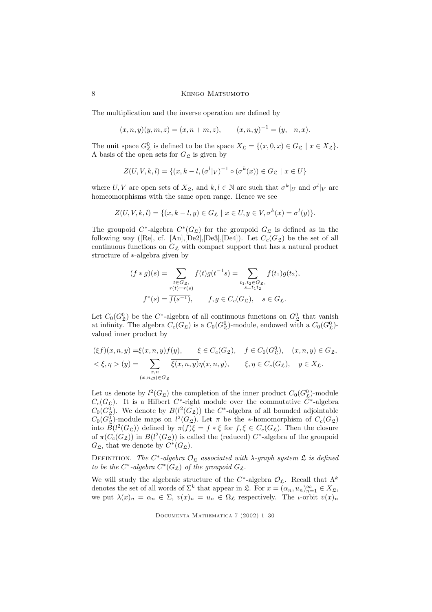The multiplication and the inverse operation are defined by

$$
(x, n, y)(y, m, z) = (x, n + m, z),
$$
  $(x, n, y)^{-1} = (y, -n, x).$ 

The unit space  $G^0_{\mathfrak{L}}$  is defined to be the space  $X_{\mathfrak{L}} = \{(x, 0, x) \in G_{\mathfrak{L}} \mid x \in X_{\mathfrak{L}}\}.$ A basis of the open sets for  $G_{\mathfrak{L}}$  is given by

$$
Z(U, V, k, l) = \{ (x, k - l, (\sigma^l|_V)^{-1} \circ (\sigma^k(x)) \in G_{\mathfrak{L}} \mid x \in U \}
$$

where U, V are open sets of  $X_{\mathfrak{L}}$ , and  $k, l \in \mathbb{N}$  are such that  $\sigma^k|_U$  and  $\sigma^l|_V$  are homeomorphisms with the same open range. Hence we see

$$
Z(U, V, k, l) = \{(x, k - l, y) \in G_{\mathfrak{L}} \mid x \in U, y \in V, \sigma^{k}(x) = \sigma^{l}(y)\}.
$$

The groupoid  $C^*$ -algebra  $C^*(G_{\mathfrak{L}})$  for the groupoid  $G_{\mathfrak{L}}$  is defined as in the following way ([Re], cf. [An],[De2],[De3],[De4]). Let  $C_c(G_{\mathfrak{L}})$  be the set of all continuous functions on  $G_{\mathfrak{L}}$  with compact support that has a natural product structure of ∗-algebra given by

$$
(f * g)(s) = \sum_{\substack{t \in G_{\mathfrak{L}}, \\ r(t) = r(s)}} f(t)g(t^{-1}s) = \sum_{\substack{t_1, t_2 \in G_{\mathfrak{L}}, \\ s = t_1 t_2}} f(t_1)g(t_2),
$$
  

$$
f^*(s) = \overline{f(s^{-1})}, \qquad f, g \in C_c(G_{\mathfrak{L}}), \quad s \in G_{\mathfrak{L}}.
$$

Let  $C_0(G^0_{\mathfrak{L}})$  be the C<sup>\*</sup>-algebra of all continuous functions on  $G^0_{\mathfrak{L}}$  that vanish at infinity. The algebra  $C_c(G_{\mathfrak{L}})$  is a  $C_0(G_{\mathfrak{L}}^0)$ -module, endowed with a  $C_0(G_{\mathfrak{L}}^0)$ valued inner product by

$$
(\xi f)(x, n, y) = \xi(x, n, y)f(y), \qquad \xi \in C_c(G_{\mathfrak{L}}), \quad f \in C_0(G_{\mathfrak{L}}^0), \quad (x, n, y) \in G_{\mathfrak{L}},
$$
  

$$
\xi, \eta > (y) = \sum_{\substack{x, n \\ (x, n, y) \in G_{\mathfrak{L}}}} \overline{\xi(x, n, y)} \eta(x, n, y), \qquad \xi, \eta \in C_c(G_{\mathfrak{L}}), \quad y \in X_{\mathfrak{L}}.
$$

Let us denote by  $l^2(G_{\mathfrak{L}})$  the completion of the inner product  $C_0(G_{\mathfrak{L}}^0)$ -module  $C_c(G_{\mathfrak{L}})$ . It is a Hilbert C<sup>\*</sup>-right module over the commutative C<sup>\*</sup>-algebra  $C_0(G_{\mathfrak{L}}^0)$ . We denote by  $B(l^2(G_{\mathfrak{L}}))$  the  $C^*$ -algebra of all bounded adjointable  $C_0(G_{\mathfrak{L}}^0)$ -module maps on  $l^2(G_{\mathfrak{L}})$ . Let  $\pi$  be the \*-homomorphism of  $C_c(G_{\mathfrak{L}})$ Lo  $B(l^2(G_{\mathcal{L}}))$  defined by  $\pi(f)\xi = f * \xi$  for  $f, \xi \in C_c(G_{\mathcal{L}})$ . Then the closure of  $\pi(C_c(G_{\mathfrak{L}}))$  in  $B(l^2(G_{\mathfrak{L}}))$  is called the (reduced)  $C^*$ -algebra of the groupoid  $G_{\mathfrak{L}}$ , that we denote by  $C^*(G_{\mathfrak{L}})$ .

DEFINITION. The C<sup>\*</sup>-algebra  $\mathcal{O}_{\mathfrak{L}}$  associated with  $\lambda$ -graph system  $\mathfrak{L}$  is defined to be the C<sup>\*</sup>-algebra  $C^*(G_{\mathfrak{L}})$  of the groupoid  $G_{\mathfrak{L}}$ .

We will study the algebraic structure of the  $C^*$ -algebra  $\mathcal{O}_{\mathcal{L}}$ . Recall that  $\Lambda^k$ denotes the set of all words of  $\Sigma^k$  that appear in  $\mathfrak{L}$ . For  $x = (\alpha_n, u_n)_{n=1}^{\infty} \in X_{\mathfrak{L}}$ , we put  $\lambda(x)_n = \alpha_n \in \Sigma$ ,  $v(x)_n = u_n \in \Omega_{\mathfrak{L}}$  respectively. The *ι*-orbit  $v(x)_n$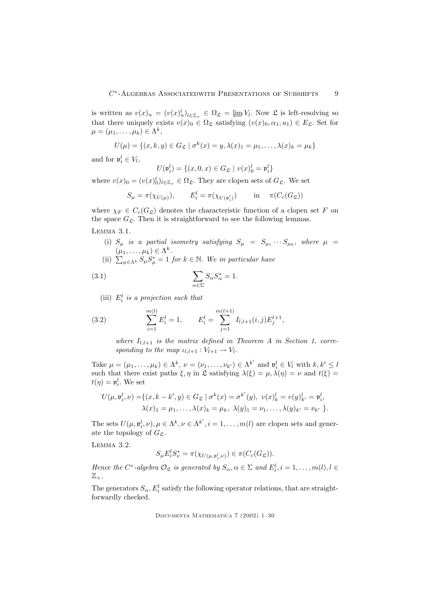is written as  $v(x)_n = (v(x)_n^l)_{l \in \mathbb{Z}_+} \in \Omega_{\mathfrak{L}} = \varprojlim V_l$ . Now  $\mathfrak{L}$  is left-resolving so that there uniquely exists  $v(x)_0 \in \Omega_{\mathfrak{L}}$  satisfying  $(v(x)_0, \alpha_1, u_1) \in E_{\mathfrak{L}}$ . Set for  $\mu = (\mu_1, \ldots, \mu_k) \in \Lambda^k$ ,

$$
U(\mu) = \{(x, k, y) \in G_{\mathfrak{L}} \mid \sigma^k(x) = y, \lambda(x)_1 = \mu_1, \dots, \lambda(x)_k = \mu_k\}
$$

and for  $\mathfrak{v}_i^l \in V_l$ ,

$$
U(\mathfrak{v}_i^l) = \{(x, 0, x) \in G_{\mathfrak{L}} \mid v(x)_0^l = \mathfrak{v}_i^l\}
$$

where  $v(x)_0 = (v(x)_0^l)_{l \in \mathbb{Z}_+} \in \Omega_{\mathfrak{L}}$ . They are clopen sets of  $G_{\mathfrak{L}}$ . We set

$$
S_{\mu} = \pi(\chi_{U(\mu)}), \qquad E_i^l = \pi(\chi_{U(\mathfrak{v}_i^l)}) \qquad \text{in} \quad \pi(C_c(G_{\mathfrak{L}}))
$$

where  $\chi_F \in C_c(G_{\mathfrak{L}})$  denotes the characteristic function of a clopen set F on the space  $G_{\mathcal{L}}$ . Then it is straightforward to see the following lemmas. Lemma 3.1.

- - (i)  $S_{\mu}$  is a partial isometry satisfying  $S_{\mu} = S_{\mu_1} \cdots S_{\mu_k}$ , where  $\mu$  =  $(\mu_1, \ldots, \mu_k) \in \Lambda^k$ .
- (ii)  $\sum_{\mu \in \Lambda^k} S_{\mu} S_{\mu}^* = 1$  for  $k \in \mathbb{N}$ . We in particular have

(3.1) 
$$
\sum_{\alpha \in \Sigma} S_{\alpha} S_{\alpha}^* = 1.
$$

(iii)  $E_i^l$  is a projection such that

(3.2) 
$$
\sum_{i=1}^{m(l)} E_i^l = 1, \qquad E_i^l = \sum_{j=1}^{m(l+1)} I_{l,l+1}(i,j) E_j^{l+1},
$$

where  $I_{l,l+1}$  is the matrix defined in Theorem A in Section 1, corresponding to the map  $u_{l,l+1}: V_{l+1} \to V_l$ .

Take  $\mu = (\mu_1, \dots, \mu_k) \in \Lambda^k$ ,  $\nu = (\nu_1, \dots, \nu_{k'}) \in \Lambda^{k'}$  and  $\mathfrak{v}_i^l \in V_l$  with  $k, k' \leq l$ such that there exist paths  $\xi, \eta$  in  $\mathfrak L$  satisfying  $\lambda(\xi) = \mu, \lambda(\eta) = \nu$  and  $t(\xi) =$  $t(\eta) = \mathfrak{v}_i^l$ . We set

$$
U(\mu, \mathfrak{v}_i^l, \nu) = \{ (x, k - k', y) \in G_{\mathfrak{L}} \mid \sigma^k(x) = \sigma^{k'}(y), \ v(x)_k^l = v(y)_{k'}^l = \mathfrak{v}_i^l, \lambda(x)_1 = \mu_1, \dots, \lambda(x)_k = \mu_k, \ \lambda(y)_1 = \nu_1, \dots, \lambda(y)_{k'} = \nu_{k'} \ \}.
$$

The sets  $U(\mu, \mathfrak{v}_i^l, \nu), \mu \in \Lambda^k, \nu \in \Lambda^{k'}, i = 1, \dots, m(l)$  are clopen sets and generate the topology of  $G_{\mathfrak{L}}$ .

Lemma 3.2.

$$
S_{\mu}E_i^l S_{\nu}^* = \pi(\chi_{U(\mu, \mathfrak{v}_i^l, \nu)}) \in \pi(C_c(G_{\mathfrak{L}})).
$$

Hence the  $C^*$ -algebra  $\mathcal{O}_{\mathfrak{L}}$  is generated by  $S_{\alpha}, \alpha \in \Sigma$  and  $E_i^l, i = 1, \ldots, m(l), l \in$  $\mathbb{Z}_{+}$ .

The generators  $S_{\alpha}$ ,  $E_i^l$  satisfy the following operator relations, that are straightforwardly checked.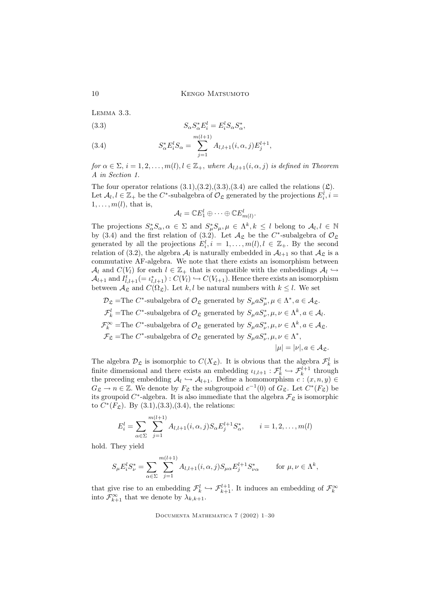Lemma 3.3.

(3.3) 
$$
S_{\alpha} S_{\alpha}^* E_i^l = E_i^l S_{\alpha} S_{\alpha}^*,
$$

(3.4) 
$$
S_{\alpha}^* E_i^l S_{\alpha} = \sum_{j=1}^{m(l+1)} A_{l,l+1}(i,\alpha,j) E_j^{l+1},
$$

for  $\alpha \in \Sigma$ ,  $i = 1, 2, ..., m(l)$ ,  $l \in \mathbb{Z}_+$ , where  $A_{l,l+1}(i, \alpha, j)$  is defined in Theorem A in Section 1.

The four operator relations  $(3.1),(3.2),(3.3),(3.4)$  are called the relations  $(\mathfrak{L})$ . Let  $\mathcal{A}_l, l \in \mathbb{Z}_+$  be the  $C^*$ -subalgebra of  $\mathcal{O}_{\mathfrak{L}}$  generated by the projections  $E_i^l, i =$  $1, \ldots, m(l)$ , that is,

$$
\mathcal{A}_l = \mathbb{C} E_1^l \oplus \cdots \oplus \mathbb{C} E_{m(l)}^l.
$$

The projections  $S^*_{\alpha}S_{\alpha}, \alpha \in \Sigma$  and  $S^*_{\mu}S_{\mu}, \mu \in \Lambda^k, k \leq l$  belong to  $\mathcal{A}_l, l \in \mathbb{N}$ by (3.4) and the first relation of (3.2). Let  $\mathcal{A}_{\mathcal{L}}$  be the  $C^*$ -subalgebra of  $\mathcal{O}_{\mathcal{L}}$ generated by all the projections  $E_i^l, i = 1, ..., m(l), l \in \mathbb{Z}_+$ . By the second relation of (3.2), the algebra  $A_l$  is naturally embedded in  $A_{l+1}$  so that  $A_{\mathfrak{L}}$  is a commutative AF-algebra. We note that there exists an isomorphism between  $\mathcal{A}_l$  and  $C(V_l)$  for each  $l \in \mathbb{Z}_+$  that is compatible with the embeddings  $\mathcal{A}_l \hookrightarrow$  $\mathcal{A}_{l+1}$  and  $I_{l,l+1}^t (= \iota_{l,l+1}^*) : C(V_l) \hookrightarrow C(V_{l+1})$ . Hence there exists an isomorphism between  $\mathcal{A}_{\mathcal{L}}$  and  $C(\Omega_{\mathcal{L}})$ . Let k, l be natural numbers with  $k \leq l$ . We set

 $\mathcal{D}_{\mathfrak{L}} = \text{The } C^*$ -subalgebra of  $\mathcal{O}_{\mathfrak{L}}$  generated by  $S_{\mu} a S_{\mu}^*, \mu \in \Lambda^*, a \in \mathcal{A}_{\mathfrak{L}}$ .  $\mathcal{F}_k^l$  =The C<sup>\*</sup>-subalgebra of  $\mathcal{O}_{\mathfrak{L}}$  generated by  $S_{\mu} a S_{\nu}^*, \mu, \nu \in \Lambda^k, a \in \mathcal{A}_l$ .  $\mathcal{F}_k^{\infty}$  =The C<sup>\*</sup>-subalgebra of  $\mathcal{O}_{\mathfrak{L}}$  generated by  $S_{\mu} a S_{\nu}^*, \mu, \nu \in \Lambda^k, a \in \mathcal{A}_{\mathfrak{L}}$ .  $\mathcal{F}_{\mathfrak{L}} = \text{The } C^*$ -subalgebra of  $\mathcal{O}_{\mathfrak{L}}$  generated by  $S_{\mu} a S_{\nu}^*, \mu, \nu \in \Lambda^*,$  $|\mu| = |\nu|, a \in \mathcal{A}_{\mathfrak{L}}.$ 

The algebra  $\mathcal{D}_{\mathfrak{L}}$  is isomorphic to  $C(X_{\mathfrak{L}})$ . It is obvious that the algebra  $\mathcal{F}_{k}^{l}$  is finite dimensional and there exists an embedding  $\iota_{l,l+1} : \mathcal{F}_{k}^{l} \hookrightarrow \mathcal{F}_{k}^{l+1}$  through the preceding embedding  $\mathcal{A}_l \hookrightarrow \mathcal{A}_{l+1}$ . Define a homomorphism  $c : (x, n, y) \in$  $G_{\mathfrak{L}} \to n \in \mathbb{Z}$ . We denote by  $F_{\mathfrak{L}}$  the subgroupoid  $c^{-1}(0)$  of  $G_{\mathfrak{L}}$ . Let  $C^*(F_{\mathfrak{L}})$  be its groupoid  $C^*$ -algebra. It is also immediate that the algebra  $\mathcal{F}_\mathfrak{L}$  is isomorphic to  $C^*(F_{\mathfrak{L}})$ . By  $(3.1),(3.3),(3.4)$ , the relations:

$$
E_i^l = \sum_{\alpha \in \Sigma} \sum_{j=1}^{m(l+1)} A_{l,l+1}(i,\alpha,j) S_{\alpha} E_j^{l+1} S_{\alpha}^*, \qquad i = 1,2,\ldots,m(l)
$$

hold. They yield

$$
S_{\mu}E_i^l S_{\nu}^* = \sum_{\alpha \in \Sigma} \sum_{j=1}^{m(l+1)} A_{l,l+1}(i,\alpha,j) S_{\mu\alpha} E_j^{l+1} S_{\nu\alpha}^* \qquad \text{for } \mu, \nu \in \Lambda^k,
$$

that give rise to an embedding  $\mathcal{F}_k^l \hookrightarrow \mathcal{F}_{k+1}^{l+1}$ . It induces an embedding of  $\mathcal{F}_k^{\infty}$ into  $\mathcal{F}_{k+1}^{\infty}$  that we denote by  $\lambda_{k,k+1}$ .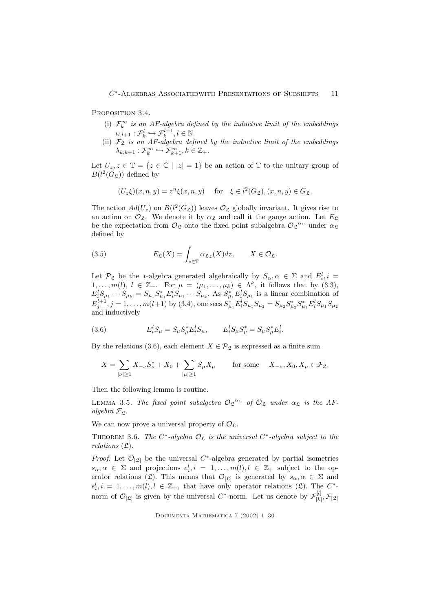PROPOSITION 3.4.

- (i)  $\mathcal{F}_k^{\infty}$  is an AF-algebra defined by the inductive limit of the embeddings  $\iota_{l,l+1} : \mathcal{F}_{k}^{l} \hookrightarrow \mathcal{F}_{k}^{l+1}, l \in \mathbb{N}.$
- (ii)  $\mathcal{F}_{\mathfrak{L}}$  is an AF-algebra defined by the inductive limit of the embeddings  $\lambda_{k,k+1} : \mathcal{F}_k^{\infty} \hookrightarrow \mathcal{F}_{k+1}^{\infty}, k \in \mathbb{Z}_+.$

Let  $U_z, z \in \mathbb{T} = \{z \in \mathbb{C} \mid |z| = 1\}$  be an action of  $\mathbb{T}$  to the unitary group of  $B(l^2(G_{\mathfrak{L}}))$  defined by

$$
(U_z\xi)(x,n,y) = z^n\xi(x,n,y) \quad \text{for} \quad \xi \in l^2(G_{\mathfrak{L}}), (x,n,y) \in G_{\mathfrak{L}}.
$$

The action  $Ad(U_z)$  on  $B(l^2(G_{\mathfrak{L}}))$  leaves  $\mathcal{O}_{\mathfrak{L}}$  globally invariant. It gives rise to an action on  $\mathcal{O}_{\mathfrak{L}}$ . We denote it by  $\alpha_{\mathfrak{L}}$  and call it the gauge action. Let  $E_{\mathfrak{L}}$ be the expectation from  $\mathcal{O}_{\mathfrak{L}}$  onto the fixed point subalgebra  $\mathcal{O}_{\mathfrak{L}}^{\alpha_{\mathfrak{L}}}$  under  $\alpha_{\mathfrak{L}}$ defined by

(3.5) 
$$
E_{\mathfrak{L}}(X) = \int_{z \in \mathbb{T}} \alpha_{\mathfrak{L}z}(X) dz, \qquad X \in \mathcal{O}_{\mathfrak{L}}.
$$

Let  $\mathcal{P}_{\mathfrak{L}}$  be the \*-algebra generated algebraically by  $S_{\alpha}, \alpha \in \Sigma$  and  $E_i^l, i =$ Let  $P_{\Sigma}$  be the \*-algebra generated algebraically by  $D_{\alpha}$ ,  $\alpha \in \Sigma$  and  $E_i$ ,  $i = 1,..., m(l)$ ,  $l \in \mathbb{Z}_+$ . For  $\mu = (\mu_1,...,\mu_k) \in \Lambda^k$ , it follows that by (3.3),  $E_i^l S_{\mu_1} \cdots S_{\mu_k} = S_{\mu_1} S_{\mu_1}^* E_i^l S_{\mu_1} \cdots S_{\mu_k}$ . As  $S_{\mu_1}^* E_i^l S_{\mu_1}$  is a linear combination of  $E_j^{l+1}, j = 1, \ldots, m(l+1)$  by (3.4), one sees  $S_{\mu_1}^* E_i^l S_{\mu_1} S_{\mu_2} = S_{\mu_2} S_{\mu_2}^* S_{\mu_1}^* E_i^l S_{\mu_1} S_{\mu_2}$ and inductively

(3.6) 
$$
E_i^l S_\mu = S_\mu S_\mu^* E_i^l S_\mu, \qquad E_i^l S_\mu S_\mu^* = S_\mu S_\mu^* E_i^l.
$$

By the relations (3.6), each element  $X \in \mathcal{P}_\mathfrak{L}$  is expressed as a finite sum

$$
X = \sum_{|\nu| \ge 1} X_{-\nu} S_{\nu}^* + X_0 + \sum_{|\mu| \ge 1} S_{\mu} X_{\mu}
$$
 for some  $X_{-\nu}, X_0, X_{\mu} \in \mathcal{F}_{\mathfrak{L}}.$ 

Then the following lemma is routine.

LEMMA 3.5. The fixed point subalgebra  $\mathcal{O}_{\mathfrak{L}}^{\alpha_{\mathfrak{L}}}$  of  $\mathcal{O}_{\mathfrak{L}}$  under  $\alpha_{\mathfrak{L}}$  is the AFalgebra  $\mathcal{F}_{\mathfrak{L}}$ .

We can now prove a universal property of  $\mathcal{O}_{\mathfrak{L}}$ .

THEOREM 3.6. The  $C^*$ -algebra  $\mathcal{O}_{\mathfrak{L}}$  is the universal  $C^*$ -algebra subject to the relations  $(\mathfrak{L})$ .

*Proof.* Let  $\mathcal{O}_{[\mathfrak{L}]}$  be the universal  $C^*$ -algebra generated by partial isometries  $s_{\alpha}, \alpha \in \Sigma$  and projections  $e_i^l, i = 1, \ldots, m(l), l \in \mathbb{Z}_+$  subject to the operator relations ( $\mathfrak{L}$ ). This means that  $\mathcal{O}_{[\mathfrak{L}]}$  is generated by  $s_{\alpha}, \alpha \in \Sigma$  and  $e_i^l, i = 1, \ldots, m(l), l \in \mathbb{Z}_+$ , that have only operator relations  $(\mathfrak{L})$ . The  $C^*$ norm of  $\mathcal{O}_{[\mathfrak{L}]}$  is given by the universal  $C^*$ -norm. Let us denote by  $\mathcal{F}_{[k]}^{[l]}$  $\mathcal{F}_{[k]}$  ,  $\mathcal{F}_{[\mathfrak{L}]}$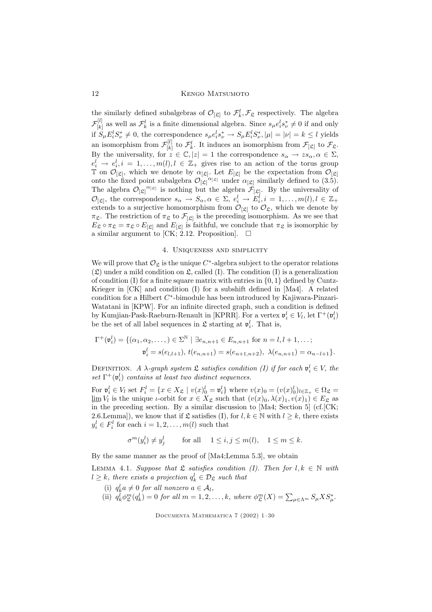the similarly defined subalgebras of  $\mathcal{O}_{[\mathfrak{L}]}$  to  $\mathcal{F}_k^l$ ,  $\mathcal{F}_{\mathfrak{L}}$  respectively. The algebra  $\mathcal{F}_{[k]}^{[l]}$  $[k]$  as well as  $\mathcal{F}_k^l$  is a finite dimensional algebra. Since  $s_\mu e_i^l s_\nu^* \neq 0$  if and only if  $S_{\mu}E_i^l S_{\nu}^* \neq 0$ , the correspondence  $s_{\mu}e_i^l s_{\nu}^* \to S_{\mu}E_i^l S_{\nu}^*, |\mu| = |\nu| = k \leq l$  yields an isomorphism from  $\mathcal{F}_{[k]}^{[l]}$  $\mathcal{F}_{[k]}^{[l]}$  to  $\mathcal{F}_{k}^{l}$ . It induces an isomorphism from  $\mathcal{F}_{[\mathfrak{L}]}$  to  $\mathcal{F}_{\mathfrak{L}}$ . By the universality, for  $z \in \mathbb{C}, |z| = 1$  the correspondence  $s_{\alpha} \to \overline{zs_{\alpha}}, \alpha \in \Sigma$ ,  $e_i^l \rightarrow e_i^l, i = 1, \ldots, m(l), l \in \mathbb{Z}_+$  gives rise to an action of the torus group  $\mathbb{T}$  on  $\mathcal{O}_{[\mathfrak{L}]}$ , which we denote by  $\alpha_{[\mathfrak{L}]}$ . Let  $E_{[\mathfrak{L}]}$  be the expectation from  $\mathcal{O}_{[\mathfrak{L}]}$ onto the fixed point subalgebra  $\mathcal{O}_{[\mathfrak{L}]}^{\alpha_{[\mathfrak{L}]}}$  under  $\alpha_{[\mathfrak{L}]}$  similarly defined to  $(3.\dot{5})$ . The algebra  $\mathcal{O}_{[\mathfrak{L}]}^{\alpha_{[\mathfrak{L}]}}$  is nothing but the algebra  $\mathcal{F}_{[\mathfrak{L}]}$ . By the universality of  $\mathcal{O}_{[\mathfrak{L}]},$  the correspondence  $s_{\alpha} \to S_{\alpha}, \alpha \in \Sigma, e_i^l \to E_i^l, i = 1, \ldots, m(l), l \in \mathbb{Z}_+$ extends to a surjective homomorphism from  $\mathcal{O}_{[\mathfrak{L}]}$  to  $\mathcal{O}_{\mathfrak{L}}$ , which we denote by  $\pi_{\mathcal{L}}$ . The restriction of  $\pi_{\mathcal{L}}$  to  $\mathcal{F}_{\lbrack\mathcal{L}\rbrack}$  is the preceding isomorphism. As we see that  $E_{\mathfrak{L}} \circ \pi_{\mathfrak{L}} = \pi_{\mathfrak{L}} \circ E_{[\mathfrak{L}]}$  and  $E_{[\mathfrak{L}]}$  is faithful, we conclude that  $\pi_{\mathfrak{L}}$  is isomorphic by a similar argument to [CK; 2.12. Proposition].  $\Box$ 

### 4. Uniqueness and simplicity

We will prove that  $\mathcal{O}_{\mathfrak{L}}$  is the unique  $C^*$ -algebra subject to the operator relations  $(\mathfrak{L})$  under a mild condition on  $\mathfrak{L}$ , called (I). The condition (I) is a generalization of condition (I) for a finite square matrix with entries in  $\{0, 1\}$  defined by Cuntz-Krieger in [CK] and condition (I) for a subshift defined in [Ma4]. A related condition for a Hilbert C ∗ -bimodule has been introduced by Kajiwara-Pinzari-Watatani in [KPW]. For an infinite directed graph, such a condition is defined by Kumjian-Pask-Raeburn-Renault in [KPRR]. For a vertex  $\mathfrak{v}_i^l \in V_l$ , let  $\Gamma^+(\mathfrak{v}_i^l)$ be the set of all label sequences in  $\mathfrak{L}$  starting at  $\mathfrak{v}_i^l$ . That is,

$$
\Gamma^+(\mathfrak{v}_i^l) = \{(\alpha_1, \alpha_2, \dots, ) \in \Sigma^{\mathbb{N}} \mid \exists e_{n,n+1} \in E_{n,n+1} \text{ for } n = l, l+1, \dots; \mathfrak{v}_i^l = s(e_{l,l+1}), t(e_{n,n+1}) = s(e_{n+1,n+2}), \lambda(e_{n,n+1}) = \alpha_{n-l+1}\}.
$$

DEFINITION. A  $\lambda$ -graph system  $\mathfrak{L}$  satisfies condition (I) if for each  $\mathfrak{v}_i^l \in V$ , the  $set \ \Gamma^+(\mathfrak{v}_i^l)$  contains at least two distinct sequences.

For  $\mathfrak{v}_i^l \in V_l$  set  $F_i^l = \{x \in X_{\mathfrak{L}} \mid v(x)_{\mathfrak{0}}^l = \mathfrak{v}_i^l\}$  where  $v(x)_{\mathfrak{0}} = (v(x)_{\mathfrak{0}}^l)_{l \in \mathbb{Z}_+} \in \Omega_{\mathfrak{L}} =$  $\lim_{n \to \infty} V_l$  is the unique *t*-orbit for  $x \in X_{\mathfrak{L}}$  such that  $(v(x)_0, \lambda(x)_1, v(x)_1) \in E_{\mathfrak{L}}$  as in the preceding section. By a similar discussion to [Ma4: Section 5] (of [CK]. in the preceding section. By a similar discussion to  $[Ma4; Section 5]$  (cf.  $[CK;$ 2.6.Lemma]), we know that if  $\mathfrak L$  satisfies (I), for  $l, k \in \mathbb N$  with  $l \geq k$ , there exists  $y_i^l \in F_i^l$  for each  $i = 1, 2, \ldots, m(l)$  such that

$$
\sigma^m(y_i^l) \neq y_j^l \qquad \text{for all} \quad 1 \le i, j \le m(l), \quad 1 \le m \le k.
$$

By the same manner as the proof of [Ma4;Lemma 5.3], we obtain

LEMMA 4.1. Suppose that  $\mathfrak L$  satisfies condition (I). Then for  $l, k \in \mathbb N$  with  $l \geq k$ , there exists a projection  $q_k^l \in \mathcal{D}_{\mathfrak{L}}$  such that

- (i)  $q_k^l a \neq 0$  for all nonzero  $a \in \mathcal{A}_l$ ,
- (ii)  $q_k^j \phi_{\mathfrak{L}}^m(q_k^l) = 0$  for all  $m = 1, 2, \ldots, k$ , where  $\phi_{\mathfrak{L}}^m(X) = \sum_{\mu \in \Lambda^m} S_{\mu} X S_{\mu}^*$ .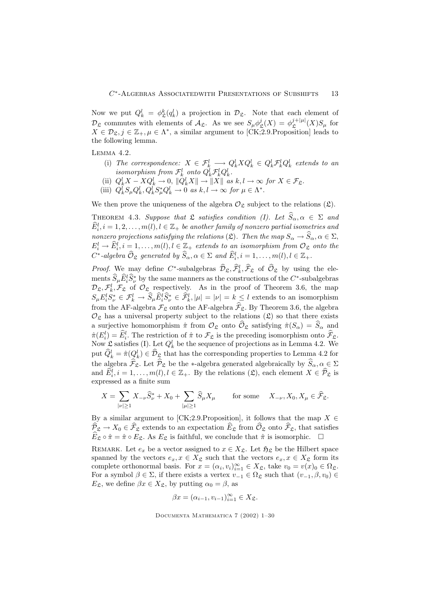Now we put  $Q_k^l = \phi_{\mathfrak{L}}^k(q_k^l)$  a projection in  $\mathcal{D}_{\mathfrak{L}}$ . Note that each element of  $\mathcal{D}_{\mathfrak{L}}$  commutes with elements of  $\mathcal{A}_{\mathfrak{L}}$ . As we see  $S_{\mu}\phi_{\mathfrak{L}}^j(X) = \phi_{\mathfrak{L}}^{j+|\mu|}(X)S_{\mu}$  for  $X \in \mathcal{D}_{\mathfrak{L}}, j \in \mathbb{Z}_+, \mu \in \Lambda^*$ , a similar argument to [CK;2.9.Proposition] leads to the following lemma.

Lemma 4.2.

- (i) The correspondence:  $X \in \mathcal{F}_k^l \longrightarrow Q_k^l X Q_k^l \in Q_k^l \mathcal{F}_k^l Q_k^l$  extends to an isomorphism from  $\mathcal{F}_k^l$  onto  $Q_k^l \mathcal{F}_k^l Q_k^l$ .
- (ii)  $Q_k^l X X Q_k^l \to 0$ ,  $||Q_k^l X|| \to ||X||$  as  $k, l \to \infty$  for  $X \in \mathcal{F}_\mathfrak{L}$ .
- (iii)  $Q_k^l S_\mu Q_k^l, Q_k^l S_\mu^* Q_k^l \to 0 \text{ as } k, l \to \infty \text{ for } \mu \in \Lambda^*.$

We then prove the uniqueness of the algebra  $\mathcal{O}_{\mathfrak{L}}$  subject to the relations  $(\mathfrak{L})$ .

THEOREM 4.3. Suppose that  $\mathfrak L$  satisfies condition (I). Let  $\widehat{S}_\alpha, \alpha \in \Sigma$  and  $\widehat{E}_i^l, i = 1,2,\ldots, m(l), l \in \mathbb{Z}_+$  be another family of nonzero partial isometries and nonzero projections satisfying the relations (L). Then the map  $S_{\alpha} \to \widehat{S}_{\alpha}, \alpha \in \Sigma$ ,  $E_i^l \to \hat{E}_i^l, i = 1, \ldots, m(l), l \in \mathbb{Z}_+$  extends to an isomorphism from  $\mathcal{O}_{\mathfrak{L}}$  onto the  $C^*$ -algebra  $\widehat{\mathcal{O}}_{\mathfrak{L}}$  generated by  $\widehat{S}_{\alpha}, \alpha \in \Sigma$  and  $\widehat{E}_i^l, i = 1, \ldots, m(l), l \in \mathbb{Z}_+$ .

*Proof.* We may define  $C^*$ -subalgebras  $\widehat{\mathcal{D}}_{\mathfrak{L}}, \widehat{\mathcal{F}}_k^l, \widehat{\mathcal{F}}_{\mathfrak{L}}$  of  $\widehat{\mathcal{O}}_{\mathfrak{L}}$  by using the elements  $\hat{S}_{\mu}\hat{E}_{i}^{l}\hat{S}_{\nu}^{*}$  by the same manners as the constructions of the  $C^*$ -subalgebras  $\mathcal{D}_{\mathfrak{L}}, \mathcal{F}_{k}^{l}, \mathcal{F}_{\mathfrak{L}}$  of  $\mathcal{O}_{\mathfrak{L}}$  respectively. As in the proof of Theorem 3.6, the map  $S_{\mu}E_i^l S_{\nu}^* \in \mathcal{F}_k^l \to \widehat{S}_{\mu} \widehat{E}_i^l \widehat{S}_{\nu}^* \in \widehat{\mathcal{F}}_k^l, |\mu| = |\nu| = k \leq l$  extends to an isomorphism from the AF-algebra  $\mathcal{F}_{\mathfrak{L}}$  onto the AF-algebra  $\widehat{\mathcal{F}}_{\mathfrak{L}}$ . By Theorem 3.6, the algebra  $\mathcal{O}_{\mathfrak{L}}$  has a universal property subject to the relations  $(\mathfrak{L})$  so that there exists a surjective homomorphism  $\hat{\pi}$  from  $\mathcal{O}_{\mathfrak{L}}$  onto  $\widehat{\mathcal{O}}_{\mathfrak{L}}$  satisfying  $\hat{\pi}(S_{\alpha}) = \widehat{S}_{\alpha}$  and  $\hat{\pi}(E_i^l) = \hat{E}_i^l$ . The restriction of  $\hat{\pi}$  to  $\mathcal{F}_{\mathfrak{L}}$  is the preceding isomorphism onto  $\hat{\mathcal{F}}_{\mathfrak{L}}$ . Now  $\mathfrak{L}$  satisfies (I). Let  $Q_k^l$  be the sequence of projections as in Lemma 4.2. We put  $\hat{Q}_k^l = \hat{\pi}(Q_k^l) \in \hat{\mathcal{D}}_{\mathfrak{L}}$  that has the corresponding properties to Lemma 4.2 for the algebra  $\widehat{\mathcal{F}}_{\mathfrak{L}}$ . Let  $\widehat{\mathcal{P}}_{\mathfrak{L}}$  be the ∗-algebra generated algebraically by  $\widehat{S}_{\alpha}, \alpha \in \Sigma$ and  $\hat{E}_i^l, i = 1, \ldots, m(l), l \in \mathbb{Z}_+$ . By the relations  $(\mathfrak{L})$ , each element  $X \in \hat{\mathcal{P}}_{\mathfrak{L}}$  is expressed as a finite sum

$$
X = \sum_{|\nu| \ge 1} X_{-\nu} \widehat{S}_{\nu}^* + X_0 + \sum_{|\mu| \ge 1} \widehat{S}_{\mu} X_{\mu} \quad \text{for some} \quad X_{-\nu}, X_0, X_{\mu} \in \widehat{\mathcal{F}}_{\mathfrak{L}}.
$$

By a similar argument to [CK;2.9.Proposition], it follows that the map  $X \in$  $\widehat{\mathcal{P}}_{\mathfrak{L}} \to X_0 \in \widehat{\mathcal{F}}_{\mathfrak{L}}$  extends to an expectation  $\widehat{E}_{\mathfrak{L}}$  from  $\widehat{\mathcal{O}}_{\mathfrak{L}}$  onto  $\widehat{\mathcal{F}}_{\mathfrak{L}}$ , that satisfies  $\widehat{E}_{\mathcal{L}} \circ \hat{\pi} = \hat{\pi} \circ E_{\mathcal{L}}$ . As  $E_{\mathcal{L}}$  is faithful, we conclude that  $\hat{\pi}$  is isomorphic.  $\Box$ 

REMARK. Let  $e_x$  be a vector assigned to  $x \in X_{\mathfrak{L}}$ . Let  $\mathfrak{H}_{\mathfrak{L}}$  be the Hilbert space spanned by the vectors  $e_x, x \in X_{\mathfrak{L}}$  such that the vectors  $e_x, x \in X_{\mathfrak{L}}$  form its complete orthonormal basis. For  $x = (\alpha_i, v_i)_{i=1}^{\infty} \in X_{\mathfrak{L}}$ , take  $v_0 = v(x)_0 \in \Omega_{\mathfrak{L}}$ . For a symbol  $\beta \in \Sigma$ , if there exists a vertex  $v_{-1} \in \Omega_{\mathfrak{L}}$  such that  $(v_{-1}, \beta, v_0) \in$  $E_{\mathfrak{L}}$ , we define  $\beta x \in X_{\mathfrak{L}}$ , by putting  $\alpha_0 = \beta$ , as

$$
\beta x = (\alpha_{i-1}, v_{i-1})_{i=1}^{\infty} \in X_{\mathfrak{L}}.
$$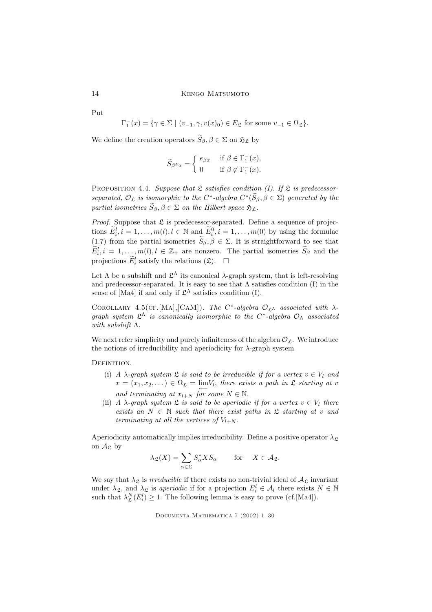Put

 $\Gamma_1^-(x) = \{ \gamma \in \Sigma \mid (v_{-1}, \gamma, v(x)_0) \in E_{\mathfrak{L}} \text{ for some } v_{-1} \in \Omega_{\mathfrak{L}} \}.$ 

We define the creation operators  $\widetilde{S}_{\beta}$ ,  $\beta \in \Sigma$  on  $\mathfrak{H}_{\mathfrak{L}}$  by

$$
\widetilde{S}_{\beta}e_x = \begin{cases} e_{\beta x} & \text{if } \beta \in \Gamma_1^-(x), \\ 0 & \text{if } \beta \notin \Gamma_1^-(x). \end{cases}
$$

PROPOSITION 4.4. Suppose that  $\mathfrak L$  satisfies condition (I). If  $\mathfrak L$  is predecessorseparated,  $\mathcal{O}_{\mathfrak{L}}$  is isomorphic to the  $C^*$ -algebra  $C^*(S_\beta, \beta \in \Sigma)$  generated by the partial isometries  $\widetilde{S}_{\beta}, \beta \in \Sigma$  on the Hilbert space  $\mathfrak{H}_{\mathfrak{L}}$ .

*Proof.* Suppose that  $\mathfrak L$  is predecessor-separated. Define a sequence of projections  $E_i^l, i = 1, \ldots, m(l), l \in \mathbb{N}$  and  $E_i^0, i = 1, \ldots, m(0)$  by using the formulae (1.7) from the partial isometries  $\widetilde{S}_{\beta}, \beta \in \Sigma$ . It is straightforward to see that  $\tilde{E}_i^l, i = 1, \ldots, m(l), l \in \mathbb{Z}_+$  are nonzero. The partial isometries  $\tilde{S}_{\beta}$  and the projections  $\widetilde{E}_i^l$  satisfy the relations  $(\mathfrak{L})$ .  $\Box$ 

Let  $\Lambda$  be a subshift and  $\mathfrak{L}^{\Lambda}$  its canonical  $\lambda$ -graph system, that is left-resolving and predecessor-separated. It is easy to see that  $\Lambda$  satisfies condition (I) in the sense of [Ma4] if and only if  $\mathfrak{L}^{\Lambda}$  satisfies condition (I).

COROLLARY 4.5(CF.[MA],[CAM]). The C<sup>\*</sup>-algebra  $\mathcal{O}_{\mathfrak{L}}$  associated with  $\lambda$ graph system  $\mathfrak{L}^{\Lambda}$  is canonically isomorphic to the  $C^*$ -algebra  $\mathcal{O}_{\Lambda}$  associated with subshift Λ.

We next refer simplicity and purely infiniteness of the algebra  $\mathcal{O}_{\mathfrak{L}}$ . We introduce the notions of irreducibility and aperiodicity for  $\lambda$ -graph system

DEFINITION.

- (i) A  $\lambda$ -graph system  $\mathfrak L$  is said to be irreducible if for a vertex  $v \in V_l$  and  $x = (x_1, x_2, \dots) \in \Omega_{\mathfrak{L}} = \lim_{\epsilon \to 0} V_{\epsilon}$ , there exists a path in  $\mathfrak{L}$  starting at v and terminating at  $x_{l+N}$  for some  $N \in \mathbb{N}$ .
- (ii) A  $\lambda$ -graph system  $\mathfrak L$  is said to be aperiodic if for a vertex  $v \in V_l$  there exists an  $N \in \mathbb{N}$  such that there exist paths in  $\mathfrak L$  starting at v and terminating at all the vertices of  $V_{l+N}$ .

Aperiodicity automatically implies irreducibility. Define a positive operator  $\lambda_{\mathcal{L}}$ on  $\mathcal{A}_{\mathfrak{L}}$  by

$$
\lambda_{\mathfrak{L}}(X) = \sum_{\alpha \in \Sigma} S_{\alpha}^* X S_{\alpha} \quad \text{for} \quad X \in \mathcal{A}_{\mathfrak{L}}.
$$

We say that  $\lambda_{\mathfrak{L}}$  is *irreducible* if there exists no non-trivial ideal of  $A_{\mathfrak{L}}$  invariant under  $\lambda_{\mathfrak{L}}$ , and  $\lambda_{\mathfrak{L}}$  is aperiodic if for a projection  $E_i^l \in \mathcal{A}_l$  there exists  $N \in \mathbb{N}$ such that  $\lambda_{\mathfrak{L}}^{N}(E_{i}^{l}) \geq 1$ . The following lemma is easy to prove (cf.[Ma4]).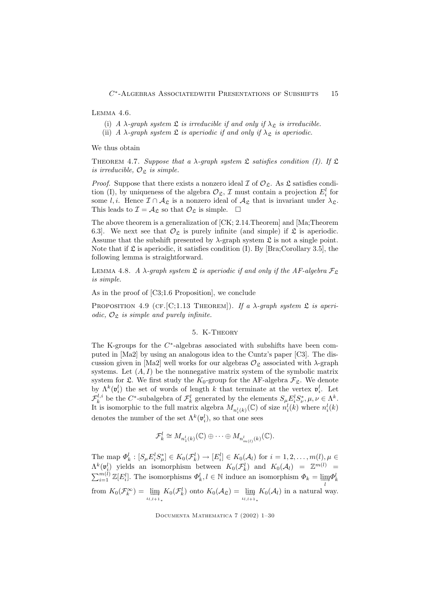Lemma 4.6.

(i) A  $\lambda$ -graph system  $\mathfrak L$  is irreducible if and only if  $\lambda_{\mathfrak L}$  is irreducible.

(ii) A  $\lambda$ -graph system  $\mathfrak L$  is aperiodic if and only if  $\lambda_{\mathfrak L}$  is aperiodic.

We thus obtain

THEOREM 4.7. Suppose that a  $\lambda$ -graph system  $\mathfrak L$  satisfies condition (I). If  $\mathfrak L$ is irreducible,  $\mathcal{O}_{\mathcal{S}}$  is simple.

*Proof.* Suppose that there exists a nonzero ideal  $\mathcal I$  of  $\mathcal O_{\mathfrak{L}}$ . As  $\mathfrak{L}$  satisfies condition (I), by uniqueness of the algebra  $\mathcal{O}_{\mathfrak{L}}$ ,  $\mathcal I$  must contain a projection  $E_i^l$  for some l,i. Hence  $\mathcal{I} \cap \mathcal{A}_{\mathfrak{L}}$  is a nonzero ideal of  $\mathcal{A}_{\mathfrak{L}}$  that is invariant under  $\lambda_{\mathfrak{L}}$ . This leads to  $\mathcal{I} = \mathcal{A}_{\mathfrak{L}}$  so that  $\mathcal{O}_{\mathfrak{L}}$  is simple.  $\Box$ 

The above theorem is a generalization of [CK; 2.14.Theorem] and [Ma;Theorem 6.3]. We next see that  $\mathcal{O}_{\mathfrak{L}}$  is purely infinite (and simple) if  $\mathfrak{L}$  is aperiodic. Assume that the subshift presented by  $\lambda$ -graph system  $\mathfrak L$  is not a single point. Note that if  $\mathfrak L$  is aperiodic, it satisfies condition (I). By [Bra;Corollary 3.5], the following lemma is straightforward.

LEMMA 4.8. A  $\lambda$ -graph system  $\mathfrak L$  is aperiodic if and only if the AF-algebra  $\mathcal F_{\mathfrak L}$ is simple.

As in the proof of [C3;1.6 Proposition], we conclude

PROPOSITION 4.9 (CF. [C;1.13 THEOREM]). If a  $\lambda$ -graph system  $\mathfrak L$  is aperiodic,  $\mathcal{O}_{\mathfrak{L}}$  is simple and purely infinite.

### 5. K-Theory

The K-groups for the  $C^*$ -algebras associated with subshifts have been computed in [Ma2] by using an analogous idea to the Cuntz's paper [C3]. The discussion given in [Ma2] well works for our algebras  $\mathcal{O}_{\mathfrak{L}}$  associated with  $\lambda$ -graph systems. Let  $(A, I)$  be the nonnegative matrix system of the symbolic matrix system for  $\mathfrak{L}$ . We first study the  $K_0$ -group for the AF-algebra  $\mathcal{F}_{\mathfrak{L}}$ . We denote by  $\Lambda^k(\mathfrak{v}_i^l)$  the set of words of length k that terminate at the vertex  $\mathfrak{v}_i^l$ . Let  $\mathcal{F}_k^{l,i}$  be the C\*-subalgebra of  $\mathcal{F}_k^l$  generated by the elements  $S_{\mu}E_i^lS_{\nu}^*, \mu, \nu \in \Lambda^k$ . It is isomorphic to the full matrix algebra  $M_{n_i^l(k)}(\mathbb{C})$  of size  $n_i^l(k)$  where  $n_i^l(k)$ denotes the number of the set  $\Lambda^k(\mathfrak{v}_i^l)$ , so that one sees

$$
\mathcal{F}_k^l \cong M_{n_1^l(k)}(\mathbb{C}) \oplus \cdots \oplus M_{n_{m(l)}^l(k)}(\mathbb{C}).
$$

The map  $\Phi_k^l : [S_\mu E_i^l S_\mu^*] \in K_0(\mathcal{F}_k^l) \to [E_i^l] \in K_0(\mathcal{A}_l)$  for  $i = 1, 2, \dots, m(l), \mu \in$  $\Lambda^k(\mathfrak{v}_i^l)$  yields an isomorphism between  $K_0(\mathcal{F}_k^l)$  and  $K_0(\mathcal{A}_l) = \mathbb{Z}^{m(l)}$  $\sum_{i=1}^{m(l)} \mathbb{Z}[E_i^l]$ . The isomorphisms  $\Phi_k^l, l \in \mathbb{N}$  induce an isomorphism  $\Phi_k = \varinjlim_{l} \Phi_k^l$ from  $K_0(\mathcal{F}_k^{\infty}) = \lim_{\iota_{l,l+1}} K_0(\mathcal{F}_k^l)$  onto  $K_0(\mathcal{A}_{\mathfrak{L}}) = \lim_{\iota_{l,l+1}} K_0(\mathcal{A}_l)$  in a natural way.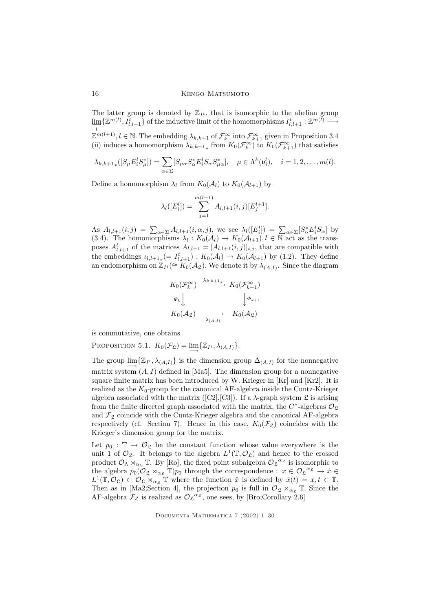The latter group is denoted by  $\mathbb{Z}_{I^t}$ , that is isomorphic to the abelian group  $\varinjlim_l \{\mathbb{Z}^{m(l)}, I_{l,l+1}^t\}$  of the inductive limit of the homomorphisms  $I_{l,l+1}^t : \mathbb{Z}^{m(l)} \longrightarrow$  $\mathbb{Z}^{m(l+1)}, l \in \mathbb{N}$ . The embedding  $\lambda_{k,k+1}$  of  $\mathcal{F}_k^{\infty}$  into  $\mathcal{F}_{k+1}^{\infty}$  given in Proposition 3.4 (ii) induces a homomorphism  $\lambda_{k,k+1}$  from  $K_0(\mathcal{F}_k^{\infty})$  to  $K_0(\mathcal{F}_{k+1}^{\infty})$  that satisfies

$$
\lambda_{k,k+1*}([S_{\mu}E_i^l S_{\mu}^*]) = \sum_{\alpha \in \Sigma} [S_{\mu\alpha} S_{\alpha}^* E_i^l S_{\alpha} S_{\mu\alpha}^*], \quad \mu \in \Lambda^k(\mathfrak{v}_i^l), \quad i = 1, 2, \dots, m(l).
$$

Define a homomorphism  $\lambda_l$  from  $K_0(\mathcal{A}_l)$  to  $K_0(\mathcal{A}_{l+1})$  by

$$
\lambda_l([E_i^l]) = \sum_{j=1}^{m(l+1)} A_{l,l+1}(i,j)[E_j^{l+1}].
$$

As  $A_{l,l+1}(i,j) = \sum_{\alpha \in \Sigma} A_{l,l+1}(i,\alpha,j)$ , we see  $\lambda_l([E_i^l]) = \sum_{\alpha \in \Sigma} [S_{\alpha}^* E_i^l S_{\alpha}]$  by (3.4). The homomorphisms  $\lambda_l : K_0(\mathcal{A}_l) \to K_0(\mathcal{A}_{l+1}), l \in \mathbb{N}$  act as the transposes  $A_{l,l+1}^t$  of the matrices  $A_{l,l+1} = [A_{l,l+1}(i,j)]_{i,j}$ , that are compatible with the embeddings  $\iota_{l,l+1} \equiv I_{l,l+1}^t : K_0(\mathcal{A}_l) \to K_0(\mathcal{A}_{l+1})$  by (1.2). They define an endomorphism on  $\mathbb{Z}_{I^t}(\cong K_0(\mathcal{A}_{\mathfrak{L}})$ . We denote it by  $\lambda_{(A,I)}$ . Since the diagram

$$
K_0(\mathcal{F}_k^{\infty}) \xrightarrow{\lambda_{k,k+1}} K_0(\mathcal{F}_{k+1}^{\infty})
$$
  
\n
$$
\Phi_k \downarrow \qquad \qquad \downarrow \Phi_{k+1}
$$
  
\n
$$
K_0(\mathcal{A}_{\mathfrak{L}}) \xrightarrow{\lambda_{(\mathcal{A},I)}} K_0(\mathcal{A}_{\mathfrak{L}})
$$

is commutative, one obtains

PROPOSITION 5.1.  $K_0(\mathcal{F}_\mathfrak{L}) = \lim_{\longrightarrow} \{ \mathbb{Z}_{I^t}, \lambda_{(A,I)} \}.$ 

The group  $\lim_{\longrightarrow} \{\mathbb{Z}_{I^t}, \lambda_{(A,I)}\}$  is the dimension group  $\Delta_{(A,I)}$  for the nonnegative matrix system  $(A, I)$  defined in [Ma5]. The dimension group for a nonnegative square finite matrix has been introduced by W. Krieger in [Kr] and [Kr2]. It is realized as the  $K_0$ -group for the canonical AF-algebra inside the Cuntz-Krieger algebra associated with the matrix ([C2], [C3]). If a  $\lambda$ -graph system  $\mathfrak{L}$  is arising from the finite directed graph associated with the matrix, the  $C^*$ -algebras  $\mathcal{O}_{\mathfrak{L}}$ and  $\mathcal{F}_{\mathfrak{L}}$  coincide with the Cuntz-Krieger algebra and the canonical AF-algebra respectively (cf. Section 7). Hence in this case,  $K_0(\mathcal{F}_\mathfrak{L})$  coincides with the Krieger's dimension group for the matrix.

Let  $p_0 : \mathbb{T} \to \mathcal{O}_{\mathfrak{L}}$  be the constant function whose value everywhere is the unit 1 of  $\mathcal{O}_{\mathfrak{L}}$ . It belongs to the algebra  $L^1(\mathbb{T}, \mathcal{O}_{\mathfrak{L}})$  and hence to the crossed product  $\mathcal{O}_{\Lambda} \rtimes_{\alpha_{\mathcal{L}}} \mathbb{T}$ . By [Ro], the fixed point subalgebra  $\mathcal{O}_{\mathcal{L}}^{\alpha_{\mathcal{L}}}$  is isomorphic to the algebra  $p_0(\mathcal{O}_\mathfrak{L} \rtimes_{\alpha_\mathfrak{L}} \mathbb{T})p_0$  through the correspondence :  $x \in \mathcal{O}_\mathfrak{L}^{\alpha_\mathfrak{L}} \to \hat{x} \in$  $L^1(\mathbb{T}, \mathcal{O}_\mathfrak{L}) \subset \mathcal{O}_\mathfrak{L} \rtimes_{\alpha_\mathfrak{L}} \mathbb{T}$  where the function  $\hat{x}$  is defined by  $\hat{x}(t) = x, t \in \mathbb{T}$ . Then as in [Ma2;Section 4], the projection  $p_0$  is full in  $\mathcal{O}_{\mathfrak{L}} \rtimes_{\alpha_{\mathfrak{L}}} \mathbb{T}$ . Since the AF-algebra  $\mathcal{F}_{\mathfrak{L}}$  is realized as  $\mathcal{O}_{\mathfrak{L}}^{\alpha_{\mathfrak{L}}}$ , one sees, by [Bro;Corollary 2.6]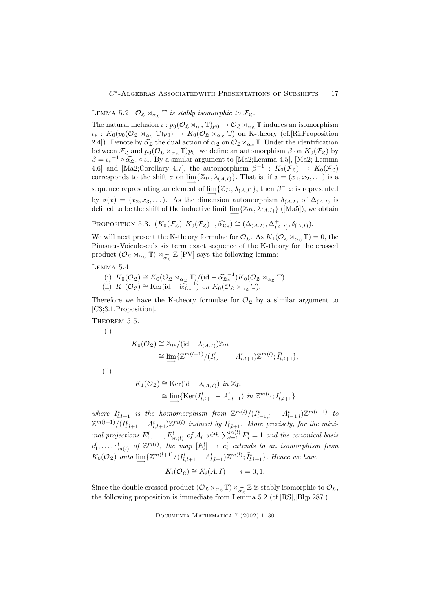# LEMMA 5.2.  $\mathcal{O}_{\mathfrak{L}} \rtimes_{\alpha_{\mathfrak{L}}} \mathbb{T}$  is stably isomorphic to  $\mathcal{F}_{\mathfrak{L}}$ .

The natural inclusion  $\iota : p_0(\mathcal{O}_\mathfrak{L} \rtimes_{\alpha_\mathfrak{L}} \mathbb{T})p_0 \to \mathcal{O}_\mathfrak{L} \rtimes_{\alpha_\mathfrak{L}} \mathbb{T}$  induces an isomorphism  $u_*: K_0(p_0(\mathcal{O}_\mathfrak{L} \rtimes_{\alpha_\mathfrak{L}} \mathbb{T})p_0) \to K_0(\mathcal{O}_\mathfrak{L} \rtimes_{\alpha_\mathfrak{L}} \mathbb{T})$  on K-theory (cf.[Ri;Proposition 2.4]). Denote by  $\widehat{\alpha_{\mathcal{L}}}$  the dual action of  $\alpha_{\mathcal{L}}$  on  $\mathcal{O}_{\mathcal{L}} \rtimes_{\alpha_{\mathcal{L}}} \mathbb{T}$ . Under the identification between  $\mathcal{F}_{\mathfrak{L}}$  and  $p_0(\mathcal{O}_{\mathfrak{L}} \rtimes_{\alpha_{\mathfrak{L}}} \mathbb{T})p_0$ , we define an automorphism  $\beta$  on  $K_0(\mathcal{F}_{\mathfrak{L}})$  by  $\beta = \iota_*^{-1} \circ \widehat{\alpha}_{\mathfrak{L}_*} \circ \iota_*$ . By a similar argument to [Ma2;Lemma 4.5], [Ma2; Lemma 4.6] and [Ma2;Corollary 4.7], the automorphism  $\beta^{-1}$  :  $K_0(\mathcal{F}_{\mathfrak{L}}) \to K_0(\mathcal{F}_{\mathfrak{L}})$ corresponds to the shift  $\sigma$  on  $\lim_{\longrightarrow} {\mathbb{Z}}_I^t, \lambda_{(A,I)}$ . That is, if  $x = (x_1, x_2, \dots)$  is a sequence representing an element of  $\lim_{n \to \infty} {\mathbb{Z}}_{I^t}, \lambda_{(A,I)}$ , then  $\beta^{-1}x$  is represented by  $\sigma(x) = (x_2, x_3, \dots)$ . As the dimension automorphism  $\delta_{(A,I)}$  of  $\Delta_{(A,I)}$  is defined to be the shift of the inductive limit  $\lim_{\longrightarrow} {\{\mathbb{Z}_I \iota, \lambda_{(A,I)}\}}$  ([Ma5]), we obtain −→

PROPOSITION 5.3. 
$$
(K_0(\mathcal{F}_{\mathfrak{L}}), K_0(\mathcal{F}_{\mathfrak{L}})_+, \widehat{\alpha_{\mathfrak{L}}}_*) \cong (\Delta_{(A,I)}, \Delta^+_{(A,I)}, \delta_{(A,I)}).
$$

We will next present the K-theory formulae for  $\mathcal{O}_{\mathfrak{L}}$ . As  $K_1(\mathcal{O}_{\mathfrak{L}} \rtimes_{\alpha_{\mathfrak{L}}} \mathbb{T}) = 0$ , the Pimsner-Voiculescu's six term exact sequence of the K-theory for the crossed product  $(\mathcal{O}_{\mathfrak{L}} \rtimes_{\alpha_{\mathfrak{L}}} \mathbb{T}) \rtimes_{\widehat{\alpha_{\mathfrak{L}}}} \mathbb{Z}$  [PV] says the following lemma:

Lemma 5.4.

(i) 
$$
K_0(\mathcal{O}_{\mathfrak{L}}) \cong K_0(\mathcal{O}_{\mathfrak{L}} \rtimes_{\alpha_{\mathfrak{L}}} \mathbb{T})/(\mathrm{id} - \widehat{\alpha_{\mathfrak{L}}}^{-1}) K_0(\mathcal{O}_{\mathfrak{L}} \rtimes_{\alpha_{\mathfrak{L}}} \mathbb{T}).
$$
  
(ii)  $K_1(\mathcal{O}_{\mathfrak{L}}) \cong \mathrm{Ker}(\mathrm{id} - \widehat{\alpha_{\mathfrak{L}}}^{-1})$  on  $K_0(\mathcal{O}_{\mathfrak{L}} \rtimes_{\alpha_{\mathfrak{L}}} \mathbb{T}).$ 

Therefore we have the K-theory formulae for  $\mathcal{O}_{\mathfrak{L}}$  by a similar argument to [C3;3.1.Proposition].

THEOREM 5.5.

(i)

$$
K_0(\mathcal{O}_{\mathfrak{L}}) \cong \mathbb{Z}_{I^t}/(\mathrm{id} - \lambda_{(A,I)})\mathbb{Z}_{I^t}
$$
  
\n
$$
\cong \lim_{l \to l} \{ \mathbb{Z}^{m(l+1)}/(I_{l,l+1}^t - A_{l,l+1}^t) \mathbb{Z}^{m(l)}; \overline{I}_{l,l+1}^t \},
$$

 $(ii)$ 

$$
K_1(\mathcal{O}_{\mathfrak{L}}) \cong \text{Ker}(\text{id} - \lambda_{(A,I)}) \text{ in } \mathbb{Z}_{I^t}
$$
  
\n
$$
\cong \lim_{t \to 0} \{ \text{Ker}(I_{l,l+1}^t - A_{l,l+1}^t) \text{ in } \mathbb{Z}^{m(l)}; I_{l,l+1}^t \}
$$

where  $\bar{I}_{l,l+1}^t$  is the homomorphism from  $\mathbb{Z}^{m(l)}/(I_{l-1,l}^t - A_{l-1,l}^t)\mathbb{Z}^{m(l-1)}$  to  $\mathbb{Z}^{m(l+1)}/(I_{l,l+1}^t - A_{l,l+1}^t)\mathbb{Z}^{m(l)}$  induced by  $I_{l,l+1}^t$ . More precisely, for the minimal projections  $E_1^l, \ldots, E_{m(l)}^l$  of  $\mathcal{A}_l$  with  $\sum_{i=1}^{m(l)} E_i^l = 1$  and the canonical basis  $e^{l}_{1},\ldots,e^{l}_{m(l)}$  of  $\mathbb{Z}^{m(l)},$  the map  $[E^{l}_{i}]\;\rightarrow\;e^{l}_{i}$  extends to an isomorphism from  $K_0(\mathcal{O}_\mathfrak{L})$  onto  $\lim_{\longrightarrow} \{ \mathbb{Z}^{m(l+1)}/(I^t_{l,l+1} - A^t_{l,l+1}) \mathbb{Z}^{m(l)}; \bar{I}^t_{l,l+1} \}$ . Hence we have

$$
K_i(\mathcal{O}_\mathfrak{L}) \cong K_i(A,I) \qquad i=0,1.
$$

Since the double crossed product  $(\mathcal{O}_{\mathfrak{L}} \rtimes_{\alpha_{\mathfrak{L}}} \mathbb{T}) \times_{\alpha_{\mathfrak{L}}} \mathbb{Z}$  is stably isomorphic to  $\mathcal{O}_{\mathfrak{L}}$ ,<br>the following proposition is immediate from Lemma 5.2 (cf [RS] [R]:p.287]) the following proposition is immediate from Lemma 5.2 (cf.[RS],[Bl;p.287]).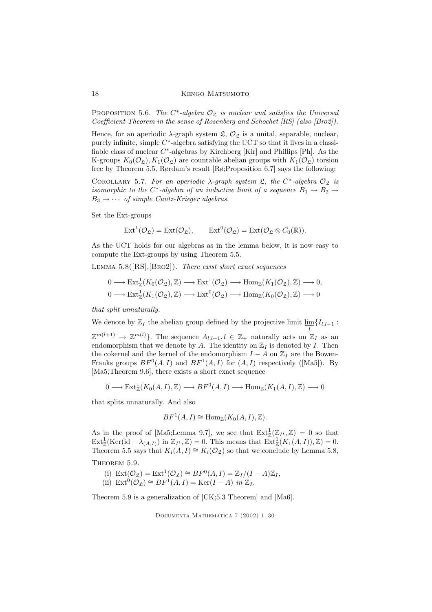PROPOSITION 5.6. The  $C^*$ -algebra  $\mathcal{O}_{\mathfrak{L}}$  is nuclear and satisfies the Universal Coefficient Theorem in the sense of Rosenberg and Schochet [RS] (also [Bro2]).

Hence, for an aperiodic  $\lambda$ -graph system  $\mathfrak{L}, \mathcal{O}_{\mathfrak{L}}$  is a unital, separable, nuclear, purely infinite, simple  $C^*$ -algebra satisfying the UCT so that it lives in a classifiable class of nuclear  $C^*$ -algebras by Kirchberg [Kir] and Phillips [Ph]. As the K-groups  $K_0(\mathcal{O}_\mathfrak{L}), K_1(\mathcal{O}_\mathfrak{L})$  are countable abelian groups with  $K_1(\mathcal{O}_\mathfrak{L})$  torsion free by Theorem 5.5, Rørdam's result [Rø;Proposition 6.7] says the following:

COROLLARY 5.7. For an aperiodic  $\lambda$ -graph system  $\mathfrak{L}$ , the  $C^*$ -algebra  $\mathcal{O}_{\mathfrak{L}}$  is isomorphic to the C<sup>\*</sup>-algebra of an inductive limit of a sequence  $B_1 \rightarrow B_2 \rightarrow$  $B_3 \rightarrow \cdots$  of simple Cuntz-Krieger algebras.

Set the Ext-groups

$$
\mathrm{Ext}^{1}(\mathcal{O}_{\mathfrak{L}})=\mathrm{Ext}(\mathcal{O}_{\mathfrak{L}}), \qquad \mathrm{Ext}^{0}(\mathcal{O}_{\mathfrak{L}})=\mathrm{Ext}(\mathcal{O}_{\mathfrak{L}}\otimes C_{0}(\mathbb{R})).
$$

As the UCT holds for our algebras as in the lemma below, it is now easy to compute the Ext-groups by using Theorem 5.5.

LEMMA  $5.8([RS],[BRO2])$ . There exist short exact sequences

$$
0 \longrightarrow \text{Ext}^1_{\mathbb{Z}}(K_0(\mathcal{O}_{\mathfrak{L}}), \mathbb{Z}) \longrightarrow \text{Ext}^1(\mathcal{O}_{\mathfrak{L}}) \longrightarrow \text{Hom}_{\mathbb{Z}}(K_1(\mathcal{O}_{\mathfrak{L}}), \mathbb{Z}) \longrightarrow 0,
$$
  

$$
0 \longrightarrow \text{Ext}^1_{\mathbb{Z}}(K_1(\mathcal{O}_{\mathfrak{L}}), \mathbb{Z}) \longrightarrow \text{Ext}^0(\mathcal{O}_{\mathfrak{L}}) \longrightarrow \text{Hom}_{\mathbb{Z}}(K_0(\mathcal{O}_{\mathfrak{L}}), \mathbb{Z}) \longrightarrow 0
$$

that split unnaturally.

We denote by  $\mathbb{Z}_I$  the abelian group defined by the projective limit  $\varprojlim_l \{I_{l,l+1} :$ 

 $\mathbb{Z}^{m(l+1)} \to \mathbb{Z}^{m(l)}$ . The sequence  $A_{l,l+1}, l \in \mathbb{Z}_+$  naturally acts on  $\mathbb{Z}_I$  as an endomorphism that we denote by A. The identity on  $\mathbb{Z}_I$  is denoted by I. Then the cokernel and the kernel of the endomorphism  $I - A$  on  $\mathbb{Z}_I$  are the Bowen-Franks groups  $BF^0(A, I)$  and  $BF^1(A, I)$  for  $(A, I)$  respectively ([Ma5]). By [Ma5;Theorem 9.6], there exists a short exact sequence

$$
0 \longrightarrow \text{Ext}^1_{\mathbb{Z}}(K_0(A,I),\mathbb{Z}) \longrightarrow BF^0(A,I) \longrightarrow \text{Hom}_{\mathbb{Z}}(K_1(A,I),\mathbb{Z}) \longrightarrow 0
$$

that splits unnaturally. And also

$$
BF^1(A, I) \cong \text{Hom}_{\mathbb{Z}}(K_0(A, I), \mathbb{Z}).
$$

As in the proof of [Ma5;Lemma 9.7], we see that  $\text{Ext}^1_{\mathbb{Z}}(\mathbb{Z}_{I^t},\mathbb{Z})=0$  so that  $\text{Ext}^1_{\mathbb{Z}}(\text{Ker}(\text{id}-\lambda_{(A,I)}) \text{ in } \mathbb{Z}_{I^t},\mathbb{Z})=0.$  This means that  $\text{Ext}^1_{\mathbb{Z}}(K_1(A,I)),\mathbb{Z})=0.$ Theorem 5.5 says that  $K_i(A, I) \cong K_i(\mathcal{O}_\mathfrak{L})$  so that we conclude by Lemma 5.8,

THEOREM 5.9.

(i)  $\text{Ext}(\mathcal{O}_{\mathfrak{L}}) = \text{Ext}^1(\mathcal{O}_{\mathfrak{L}}) \cong BF^0(A, I) = \mathbb{Z}_I / (I - A) \mathbb{Z}_I,$ (ii)  $\text{Ext}^0(\mathcal{O}_\mathfrak{L}) \cong BF^1(A, I) = \text{Ker}(I - A)$  in  $\mathbb{Z}_I$ .

Theorem 5.9 is a generalization of [CK;5.3 Theorem] and [Ma6].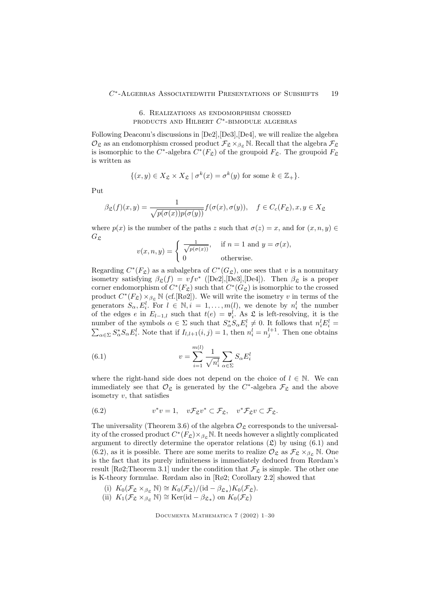# 6. Realizations as endomorphism crossed products and Hilbert  $C^*$ -bimodule algebras

Following Deaconu's discussions in [De2],[De3],[De4], we will realize the algebra  $\mathcal{O}_{\mathfrak{L}}$  as an endomorphism crossed product  $\mathcal{F}_{\mathfrak{L}} \times_{\beta_{\mathfrak{L}}} \mathbb{N}$ . Recall that the algebra  $\mathcal{F}_{\mathfrak{L}}$ is isomorphic to the C<sup>\*</sup>-algebra  $C^*(F_{\mathfrak{L}})$  of the groupoid  $F_{\mathfrak{L}}$ . The groupoid  $F_{\mathfrak{L}}$ is written as

$$
\{(x,y)\in X_{\mathfrak{L}}\times X_{\mathfrak{L}} \mid \sigma^k(x)=\sigma^k(y) \text{ for some } k\in \mathbb{Z}_+\}.
$$

Put

$$
\beta_{\mathfrak{L}}(f)(x,y) = \frac{1}{\sqrt{p(\sigma(x))p(\sigma(y))}} f(\sigma(x), \sigma(y)), \quad f \in C_c(F_{\mathfrak{L}}), x, y \in X_{\mathfrak{L}}
$$

where  $p(x)$  is the number of the paths z such that  $\sigma(z) = x$ , and for  $(x, n, y) \in$  $G_{\mathfrak{L}}$ 

$$
v(x, n, y) = \begin{cases} \frac{1}{\sqrt{p(\sigma(x))}}, & \text{if } n = 1 \text{ and } y = \sigma(x), \\ 0 & \text{otherwise.} \end{cases}
$$

Regarding  $C^*(F_{\mathfrak{L}})$  as a subalgebra of  $C^*(G_{\mathfrak{L}})$ , one sees that v is a nonunitary isometry satisfying  $\beta_{\mathfrak{L}}(f) = v f v^*$  ([De2],[De3],[De4]). Then  $\beta_{\mathfrak{L}}$  is a proper corner endomorphism of  $C^*(F_{\mathfrak{L}})$  such that  $C^*(G_{\mathfrak{L}})$  is isomorphic to the crossed product  $C^*(F_{\mathfrak{L}}) \times_{\beta_{\mathfrak{L}}} \mathbb{N}$  (cf. [Rø2]). We will write the isometry v in terms of the generators  $S_{\alpha}, E_i^l$ . For  $l \in \mathbb{N}, i = 1, ..., m(l)$ , we denote by  $n_i^l$  the number of the edges e in  $E_{l-1,l}$  such that  $t(e) = \mathfrak{v}_i^l$ . As  $\mathfrak L$  is left-resolving, it is the number of the symbols  $\alpha \in \Sigma$  such that  $S^*_{\alpha} S_{\alpha} E^l_i \neq 0$ . It follows that  $n_i^l E^l_i$  $\sum$  $i^l =$  $\alpha \in \Sigma S^*_{\alpha} S_{\alpha} E_i^l$ . Note that if  $I_{l,l+1}(i,j) = 1$ , then  $n_i^l = n_j^{l+1}$ . Then one obtains

(6.1) 
$$
v = \sum_{i=1}^{m(l)} \frac{1}{\sqrt{n_i^l}} \sum_{\alpha \in \Sigma} S_{\alpha} E_i^l
$$

where the right-hand side does not depend on the choice of  $l \in \mathbb{N}$ . We can immediately see that  $\mathcal{O}_{\mathfrak{L}}$  is generated by the  $C^*$ -algebra  $\mathcal{F}_{\mathfrak{L}}$  and the above isometry  $v$ , that satisfies

(6.2) 
$$
v^*v = 1, \quad v\mathcal{F}_{\mathfrak{L}}v^* \subset \mathcal{F}_{\mathfrak{L}}, \quad v^*\mathcal{F}_{\mathfrak{L}}v \subset \mathcal{F}_{\mathfrak{L}}.
$$

The universality (Theorem 3.6) of the algebra  $\mathcal{O}_{\mathcal{S}}$  corresponds to the universality of the crossed product  $C^*(F_{\mathfrak{L}}) \times_{\beta_{\mathfrak{L}}} \mathbb{N}$ . It needs however a slightly complicated argument to directly determine the operator relations  $(\mathfrak{L})$  by using  $(6.1)$  and (6.2), as it is possible. There are some merits to realize  $\mathcal{O}_{\mathfrak{L}}$  as  $\mathcal{F}_{\mathfrak{L}} \times_{\beta_{\mathfrak{R}}} \mathbb{N}$ . One is the fact that its purely infiniteness is immediately deduced from Rørdam's result [Rø2;Theorem 3.1] under the condition that  $\mathcal{F}_{\mathfrak{L}}$  is simple. The other one is K-theory formulae. Rørdam also in [Rø2; Corollary 2.2] showed that

- (i)  $K_0(\mathcal{F}_\mathfrak{L} \times_{\beta_\mathfrak{L}} \mathbb{N}) \cong K_0(\mathcal{F}_\mathfrak{L})/(\mathrm{id} \beta_{\mathfrak{L}_*}) K_0(\mathcal{F}_\mathfrak{L}).$
- (ii)  $K_1(\mathcal{F}_\mathfrak{L} \times_{\beta_{\mathfrak{L}}} \mathbb{N}) \cong \text{Ker}(\text{id} \beta_{\mathfrak{L}_*})$  on  $K_0(\mathcal{F}_\mathfrak{L})$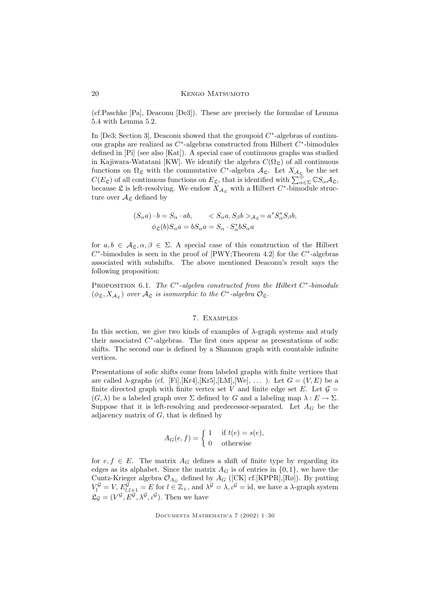(cf.Paschke [Pa], Deaconu [De3]). These are precisely the formulae of Lemma 5.4 with Lemma 5.2.

In [De3; Section 3], Deaconu showed that the groupoid  $C^*$ -algebras of continuous graphs are realized as  $C^*$ -algebras constructed from Hilbert  $C^*$ -bimodules defined in [Pi] (see also [Kat]). A special case of continuous graphs was studied in Kajiwara-Watatani [KW]. We identify the algebra  $C(\Omega_{\mathcal{L}})$  of all continuous functions on  $\Omega_{\mathfrak{L}}$  with the commutative  $C^*$ -algebra  $\mathcal{A}_{\mathfrak{L}}$ . Let  $X_{\mathcal{A}_{\mathfrak{L}}^{\mathfrak{L}}}$  be the set  $C(E_{\mathfrak{L}})$  of all continuous functions on  $E_{\mathfrak{L}}$ , that is identified with  $\sum_{\alpha\in\Sigma}^{\oplus} \mathbb{C}S_{\alpha}A_{\mathfrak{L}}$ , because  $\mathfrak L$  is left-resolving. We endow  $X_{\mathcal{A}_{\mathfrak{L}}}$  with a Hilbert  $C^*$ -bimodule structure over  $\mathcal{A}_{\mathfrak{L}}$  defined by

$$
(S_{\alpha}a) \cdot b = S_{\alpha} \cdot ab, \qquad S_{\alpha}a, S_{\beta}b >_{A_{\mathfrak{L}}} = a^* S_{\alpha}^* S_{\beta}b,
$$

$$
\phi_{\mathfrak{L}}(b) S_{\alpha}a = b S_{\alpha}a = S_{\alpha} \cdot S_{\alpha}^* b S_{\alpha}a
$$

for  $a, b \in A_{\mathcal{E}}, \alpha, \beta \in \Sigma$ . A special case of this construction of the Hilbert  $C^*$ -bimodules is seen in the proof of [PWY;Theorem 4.2] for the  $C^*$ -algebras associated with subshifts. The above mentioned Deaconu's result says the following proposition:

PROPOSITION 6.1. The  $C^*$ -algebra constructed from the Hilbert  $C^*$ -bimodule  $(\phi_{\mathfrak{L}}, X_{\mathcal{A}_{\mathfrak{L}}})$  over  $\mathcal{A}_{\mathfrak{L}}$  is isomorphic to the  $C^*$ -algebra  $\mathcal{O}_{\mathfrak{L}}$ .

## 7. Examples

In this section, we give two kinds of examples of  $\lambda$ -graph systems and study their associated  $C^*$ -algebras. The first ones appear as presentations of sofic shifts. The second one is defined by a Shannon graph with countable infinite vertices.

Presentations of sofic shifts come from labeled graphs with finite vertices that are called  $\lambda$ -graphs (cf. [Fi],[Kr4],[Kr5],[LM],[We], ...). Let  $G = (V, E)$  be a finite directed graph with finite vertex set V and finite edge set E. Let  $\mathcal{G} =$  $(G, \lambda)$  be a labeled graph over  $\Sigma$  defined by G and a labeling map  $\lambda : E \to \Sigma$ . Suppose that it is left-resolving and predecessor-separated. Let  $A_G$  be the adjacency matrix of  $G$ , that is defined by

$$
A_G(e, f) = \begin{cases} 1 & \text{if } t(e) = s(e), \\ 0 & \text{otherwise} \end{cases}
$$

for  $e, f \in E$ . The matrix  $A_G$  defines a shift of finite type by regarding its edges as its alphabet. Since the matrix  $A_G$  is of entries in  $\{0, 1\}$ , we have the Cuntz-Krieger algebra  $\mathcal{O}_{A_G}$  defined by  $A_G$  ([CK] cf.[KPPR],[Rø]). By putting  $V_l^{\mathcal{G}} = V$ ,  $E_{l,l+1}^{\mathcal{G}} = E$  for  $l \in \mathbb{Z}_+$ , and  $\lambda^{\mathcal{G}} = \lambda, \iota^{\mathcal{G}} = id$ , we have a  $\lambda$ -graph system  $\mathfrak{L}_{\mathcal{G}} = (V^{\mathcal{G}}, E^{\mathcal{G}}, \lambda^{\mathcal{G}}, \iota^{\mathcal{G}})$ . Then we have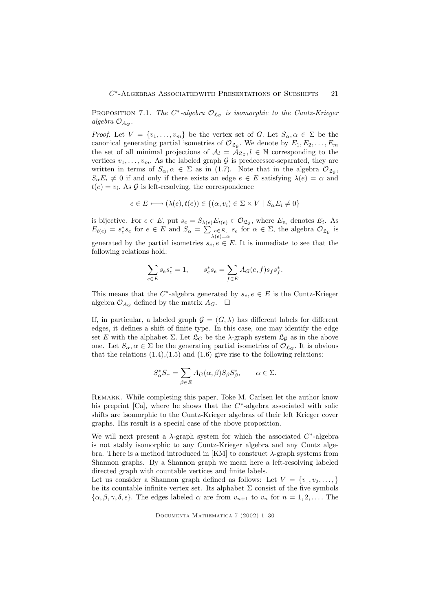**PROPOSITION** 7.1. The  $C^*$ -algebra  $\mathcal{O}_{\mathfrak{L}_{\mathcal{G}}}$  is isomorphic to the Cuntz-Krieger algebra  $\mathcal{O}_{A_G}$ .

*Proof.* Let  $V = \{v_1, \ldots, v_m\}$  be the vertex set of G. Let  $S_\alpha, \alpha \in \Sigma$  be the canonical generating partial isometries of  $\mathcal{O}_{\mathfrak{L}_{\mathcal{G}}}$ . We denote by  $E_1, E_2, \ldots, E_m$ the set of all minimal projections of  $A_l = A_{\mathfrak{L}_{\mathcal{G}}}, l \in \mathbb{N}$  corresponding to the vertices  $v_1, \ldots, v_m$ . As the labeled graph G is predecessor-separated, they are written in terms of  $S_{\alpha}, \alpha \in \Sigma$  as in (1.7). Note that in the algebra  $\mathcal{O}_{\mathfrak{L}_{\mathcal{G}}},$  $S_{\alpha}E_i \neq 0$  if and only if there exists an edge  $e \in E$  satisfying  $\lambda(e) = \alpha$  and  $t(e) = v_i$ . As  $\mathcal G$  is left-resolving, the correspondence

$$
e \in E \longleftrightarrow (\lambda(e), t(e)) \in \{(\alpha, v_i) \in \Sigma \times V \mid S_\alpha E_i \neq 0\}
$$

is bijective. For  $e \in E$ , put  $s_e = S_{\lambda(e)} E_{t(e)} \in \mathcal{O}_{\mathfrak{L}_{\mathcal{G}}},$  where  $E_{v_i}$  denotes  $E_i$ . As  $E_{t(e)} = s_e^* s_e$  for  $e \in E$  and  $S_\alpha = \sum_{\substack{e \in E, \\ \lambda(e) = \alpha}} s_e$  for  $\alpha \in \Sigma$ , the algebra  $\mathcal{O}_{\mathfrak{L}_{\mathcal{G}}}$  is generated by the partial isometries  $s_e, e \in E$ . It is immediate to see that the following relations hold:

$$
\sum_{e \in E} s_e s_e^* = 1, \qquad s_e^* s_e = \sum_{f \in E} A_G(e, f) s_f s_f^*.
$$

This means that the  $C^*$ -algebra generated by  $s_e, e \in E$  is the Cuntz-Krieger algebra  $\mathcal{O}_{A_G}$  defined by the matrix  $A_G$ .  $\Box$ 

If, in particular, a labeled graph  $\mathcal{G} = (G, \lambda)$  has different labels for different edges, it defines a shift of finite type. In this case, one may identify the edge set E with the alphabet  $\Sigma$ . Let  $\mathfrak{L}_G$  be the  $\lambda$ -graph system  $\mathfrak{L}_G$  as in the above one. Let  $S_{\alpha}, \alpha \in \Sigma$  be the generating partial isometries of  $\mathcal{O}_{\mathfrak{L}_{G}}$ . It is obvious that the relations  $(1.4),(1.5)$  and  $(1.6)$  give rise to the following relations:

$$
S_{\alpha}^* S_{\alpha} = \sum_{\beta \in E} A_G(\alpha, \beta) S_{\beta} S_{\beta}^*, \qquad \alpha \in \Sigma.
$$

REMARK. While completing this paper, Toke M. Carlsen let the author know his preprint [Ca], where he shows that the  $C^*$ -algebra associated with sofic shifts are isomorphic to the Cuntz-Krieger algebras of their left Krieger cover graphs. His result is a special case of the above proposition.

We will next present a  $\lambda$ -graph system for which the associated  $C^*$ -algebra is not stably isomorphic to any Cuntz-Krieger algebra and any Cuntz algebra. There is a method introduced in [KM] to construct  $\lambda$ -graph systems from Shannon graphs. By a Shannon graph we mean here a left-resolving labeled directed graph with countable vertices and finite labels.

Let us consider a Shannon graph defined as follows: Let  $V = \{v_1, v_2, \ldots, \}$ be its countable infinite vertex set. Its alphabet  $\Sigma$  consist of the five symbols  $\{\alpha, \beta, \gamma, \delta, \epsilon\}.$  The edges labeled  $\alpha$  are from  $v_{n+1}$  to  $v_n$  for  $n = 1, 2, \ldots$ . The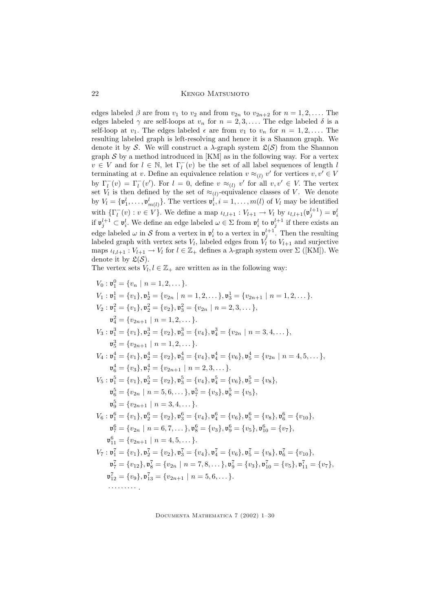Kengo Matsumoto

edges labeled  $\beta$  are from  $v_1$  to  $v_2$  and from  $v_{2n}$  to  $v_{2n+2}$  for  $n = 1, 2, \ldots$ . The edges labeled  $\gamma$  are self-loops at  $v_n$  for  $n = 2, 3, \ldots$ . The edge labeled  $\delta$  is a self-loop at  $v_1$ . The edges labeled  $\epsilon$  are from  $v_1$  to  $v_n$  for  $n = 1, 2, \ldots$ . The resulting labeled graph is left-resolving and hence it is a Shannon graph. We denote it by S. We will construct a  $\lambda$ -graph system  $\mathfrak{L}(\mathcal{S})$  from the Shannon graph  $S$  by a method introduced in [KM] as in the following way. For a vertex  $v \in V$  and for  $l \in \mathbb{N}$ , let  $\Gamma_l^-(v)$  be the set of all label sequences of length l terminating at v. Define an equivalence relation  $v \approx_{(l)} v'$  for vertices  $v, v' \in V$ by  $\Gamma_l^{-}(v) = \Gamma_l^{-}(v')$ . For  $l = 0$ , define  $v \approx_{(l)} v'$  for all  $v, v' \in V$ . The vertex set  $V_l$  is then defined by the set of  $\approx_{(l)}$ -equivalence classes of V. We denote by  $V_l = \{ \mathfrak{v}_1^l, \ldots, \mathfrak{v}_{m(l)}^l \}$ . The vertices  $\mathfrak{v}_i^l, i = 1, \ldots, m(l)$  of  $V_l$  may be identified with  $\{\Gamma_l^-(v) : v \in V\}$ . We define a map  $u_{l,l+1} : V_{l+1} \to V_l$  by  $u_{l,l+1}(\mathfrak{v}_j^{l+1}) = \mathfrak{v}_i^l$ if  $\mathfrak{v}_j^{l+1} \subset \mathfrak{v}_i^l$ . We define an edge labeled  $\omega \in \Sigma$  from  $\mathfrak{v}_i^l$  to  $\mathfrak{v}_j^{l+1}$  if there exists an edge labeled  $\omega$  in S from a vertex in  $\mathfrak{v}_i^l$  to a vertex in  $\mathfrak{v}_j^{l+1}$ . Then the resulting labeled graph with vertex sets  $V_l$ , labeled edges from  $V_l$  to  $V_{l+1}$  and surjective maps  $\iota_{l,l+1}: V_{l+1} \to V_l$  for  $l \in \mathbb{Z}_+$  defines a  $\lambda$ -graph system over  $\Sigma$  ([KM]). We denote it by  $\mathfrak{L}(\mathcal{S})$ .

The vertex sets  $V_l, l \in \mathbb{Z}_+$  are written as in the following way:

$$
V_0: v_1^0 = \{v_n \mid n = 1, 2, \ldots\}.
$$
  
\n
$$
V_1: v_1^1 = \{v_1\}, v_2^1 = \{v_{2n} \mid n = 1, 2, \ldots\}, v_3^1 = \{v_{2n+1} \mid n = 1, 2, \ldots\}.
$$
  
\n
$$
V_2: v_1^2 = \{v_1\}, v_2^2 = \{v_2\}, v_3^2 = \{v_{2n} \mid n = 2, 3, \ldots\},
$$
  
\n
$$
v_4^2 = \{v_{2n+1} \mid n = 1, 2, \ldots\}.
$$
  
\n
$$
V_3: v_1^3 = \{v_1\}, v_2^3 = \{v_2\}, v_3^3 = \{v_4\}, v_4^3 = \{v_{2n} \mid n = 3, 4, \ldots\},
$$
  
\n
$$
v_5^3 = \{v_{2n+1} \mid n = 1, 2, \ldots\}.
$$
  
\n
$$
V_4: v_1^4 = \{v_1\}, v_2^4 = \{v_2\}, v_3^4 = \{v_4\}, v_4^4 = \{v_6\}, v_5^4 = \{v_{2n} \mid n = 4, 5, \ldots\},
$$
  
\n
$$
v_6^4 = \{v_3\}, v_7^4 = \{v_{2n+1} \mid n = 2, 3, \ldots\}.
$$
  
\n
$$
V_5: v_1^5 = \{v_1\}, v_2^5 = \{v_2\}, v_3^5 = \{v_4\}, v_4^5 = \{v_6\}, v_5^5 = \{v_8\},
$$
  
\n
$$
v_6^5 = \{v_{2n} \mid n = 5, 6, \ldots\}, v_7^5 = \{v_3\}, v_5^5 = \{v_5\},
$$
  
\n
$$
v_5^5 = \{v_{2n+1} \mid n = 3, 4, \ldots\}.
$$
  
\n
$$
V_6: v_1^6 = \{v_1\}, v_2^6 = \{v_2\}, v_3^6 = \{v_4\}, v_4^6 = \{v_6
$$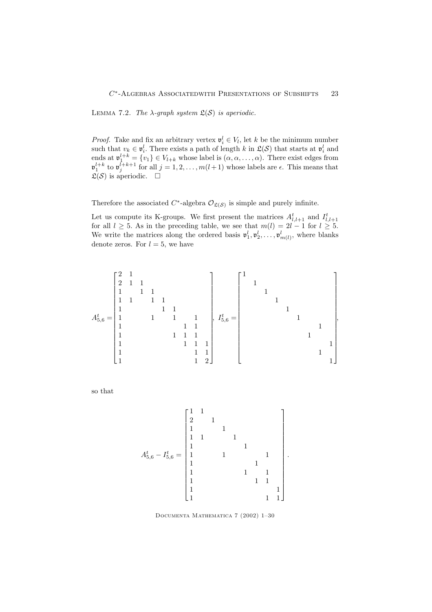LEMMA 7.2. The  $\lambda$ -graph system  $\mathfrak{L}(\mathcal{S})$  is aperiodic.

*Proof.* Take and fix an arbitrary vertex  $\mathbf{v}_i^l \in V_l$ , let k be the minimum number such that  $v_k \in \mathfrak{v}_i^l$ . There exists a path of length k in  $\mathfrak{L}(\mathcal{S})$  that starts at  $\mathfrak{v}_i^l$  and ends at  $\mathfrak{v}_1^{l+k} = \{v_1\} \in V_{l+k}$  whose label is  $(\alpha, \alpha, \dots, \alpha)$ . There exist edges from  $\mathfrak{v}_1^{l+k}$  to  $\mathfrak{v}_j^{l+k+1}$  for all  $j = 1, 2, \ldots, m(l+1)$  whose labels are  $\epsilon$ . This means that  $\mathfrak{L}(\mathcal{S})$  is aperiodic.  $\square$ 

Therefore the associated  $C^*$ -algebra  $\mathcal{O}_{\mathfrak{L}(\mathcal{S})}$  is simple and purely infinite.

Let us compute its K-groups. We first present the matrices  $A_{l,l+1}^t$  and  $I_{l,l+1}^t$  for all  $l \geq 5$ . As in the preceding table, we see that  $m(l) = 2l - 1$  for  $l \geq 5$ . We write the matrices along the ordered basis  $\mathfrak{v}_1^l, \mathfrak{v}_2^l, \ldots, \mathfrak{v}_{m(l)}^l$ , where blanks denote zeros. For  $l = 5$ , we have

A t <sup>5</sup>,<sup>6</sup> = 2 1 2 1 1 1 1 1 1 1 1 1 1 1 1 1 1 1 1 1 1 1 1 1 1 1 1 1 1 1 1 1 1 1 1 2 , I t <sup>5</sup>,<sup>6</sup> = 1 1 1 1 1 1 1 1 1 1 1 ,

so that

A t <sup>5</sup>,<sup>6</sup> − I t <sup>5</sup>,<sup>6</sup> = 1 1 2 1 1 1 1 1 1 1 1 1 1 1 1 1 1 1 1 1 1 1 1 1 1 1 1 .

Documenta Mathematica 7 (2002) 1–30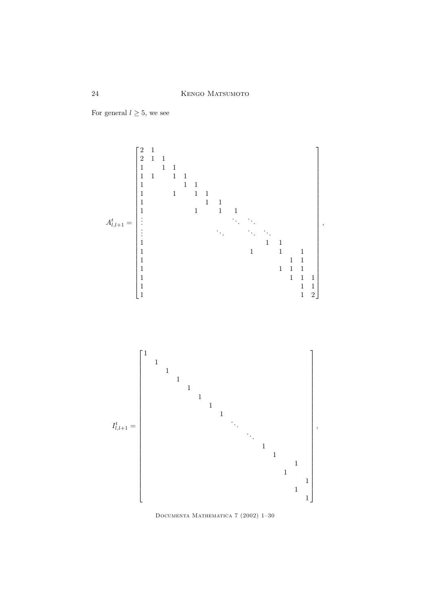For general  $l \geq 5$ , we see



Documenta Mathematica 7 (2002) 1–30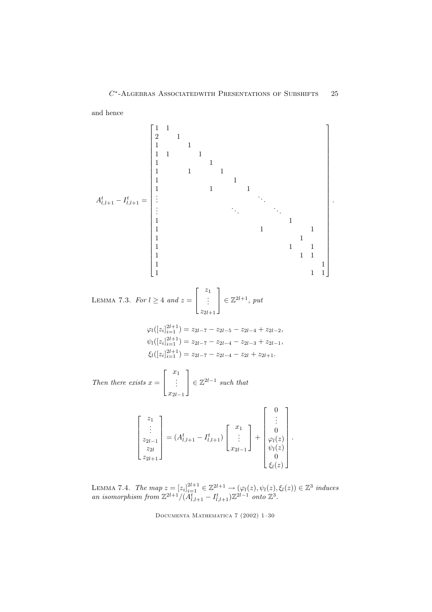and hence

A t l,l+1 − I t l,l+1 = 1 1 2 1 1 1 1 1 1 1 1 1 1 1 1 1 1 1 1 . . . . . . . . . . . . . . . 1 1 1 1 1 1 1 1 1 1 1 1 1 1 1 1 1 1 . Lemma 7.3. For l ≥ 4 and z = z1 . . . z2l+1 ∈ Z 2l+1 , put ϕl([z<sup>i</sup> ] 2l+1 i=1 ) = z2l−<sup>7</sup> − z2l−<sup>5</sup> − z2l−<sup>4</sup> + z2l−<sup>2</sup>, ψl([z<sup>i</sup> ] 2l+1 i=1 ) = z2l−<sup>7</sup> − z2l−<sup>4</sup> − z2l−<sup>3</sup> + z2l−<sup>1</sup>, ξl([z<sup>i</sup> ] 2l+1 i=1 ) = z2l−<sup>7</sup> − z2l−<sup>4</sup> − z2<sup>l</sup> + z2l+1.

Then there exists  $x =$  $\sqrt{ }$  $\overline{1}$  $\overline{x}_1$ . . .  $x_{2l-1}$ 1  $\in \mathbb{Z}^{2l-1}$  such that

| $z_{1}$<br>$x_1$<br>٠<br>$A_{l,l+1}^{t} - I_{l,l+1}^{t})$<br>$z_{2l}$<br>$z_{2l}$<br>$x_{2l}$<br>$z_{2l+1}$ | ٠<br>$\boldsymbol{z}$<br>$\tilde{}$ | ٠ |
|-------------------------------------------------------------------------------------------------------------|-------------------------------------|---|
|-------------------------------------------------------------------------------------------------------------|-------------------------------------|---|

LEMMA 7.4. The map  $z = [z_i]_{i=1}^{2l+1} \in \mathbb{Z}^{2l+1} \longrightarrow (\varphi_l(z), \psi_l(z), \xi_l(z)) \in \mathbb{Z}^3$  induces an isomorphism from  $\mathbb{Z}^{2l+1}/(A_{l,l+1}^t - I_{l,l+1}^t)\mathbb{Z}^{2l-1}$  onto  $\mathbb{Z}^3$ .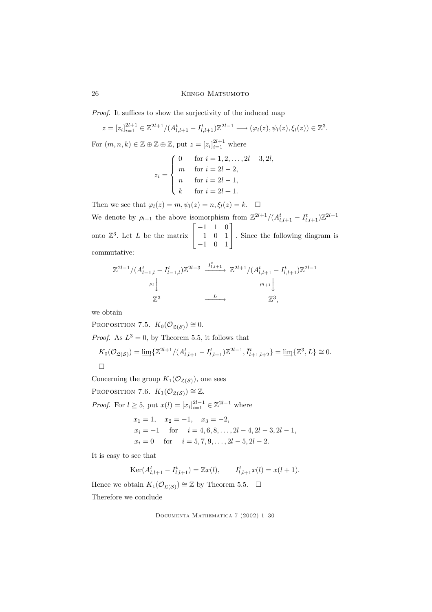# 26 Kengo Matsumoto

Proof. It suffices to show the surjectivity of the induced map

$$
z = [z_i]_{i=1}^{2l+1} \in \mathbb{Z}^{2l+1} / (A_{l,l+1}^t - I_{l,l+1}^t) \mathbb{Z}^{2l-1} \longrightarrow (\varphi_l(z), \psi_l(z), \xi_l(z)) \in \mathbb{Z}^3.
$$
  
For  $(m, n, k) \in \mathbb{Z} \oplus \mathbb{Z} \oplus \mathbb{Z}$ , put  $z = [z_i]_{i=1}^{2l+1}$  where  

$$
z_i = \begin{cases} 0 & \text{for } i = 1, 2, ..., 2l - 3, 2l, \\ m & \text{for } i = 2l - 2, \\ n & \text{for } i = 2l - 1, \\ k & \text{for } i = 2l + 1. \end{cases}
$$

Then we see that  $\varphi_l(z) = m, \psi_l(z) = n, \xi_l(z) = k$ .  $\Box$ We denote by  $\rho_{l+1}$  the above isomorphism from  $\mathbb{Z}^{2l+1}/(A_{l,l+1}^t - I_{l,l+1}^t)\mathbb{Z}^{2l-1}$ onto  $\mathbb{Z}^3$ . Let L be the matrix  $\sqrt{ }$  $\mathbf{I}$ −1 1 0 −1 0 1 −1 0 1 1 . Since the following diagram is commutative:

$$
\mathbb{Z}^{2l-1}/(A_{l-1,l}^{t} - I_{l-1,l}^{t})\mathbb{Z}^{2l-3} \xrightarrow{I_{l,l+1}^{t}} \mathbb{Z}^{2l+1}/(A_{l,l+1}^{t} - I_{l,l+1}^{t})\mathbb{Z}^{2l-1}
$$
\n
$$
\xrightarrow{\rho_l \downarrow} \qquad \qquad \downarrow \qquad \qquad \downarrow
$$
\n
$$
\mathbb{Z}^{3} \xrightarrow{L} \qquad \mathbb{Z}^{3},
$$

we obtain

PROPOSITION 7.5.  $K_0(\mathcal{O}_{\mathfrak{L}(\mathcal{S})}) \cong 0$ .

*Proof.* As  $L^3 = 0$ , by Theorem 5.5, it follows that

$$
K_0(\mathcal{O}_{\mathfrak{L}(\mathcal{S})}) = \varinjlim \{ \mathbb{Z}^{2l+1} / (A_{l,l+1}^t - I_{l,l+1}^t) \mathbb{Z}^{2l-1}, \overline{I}_{l+1,l+2}^t \} = \varinjlim \{ \mathbb{Z}^3, L \} \cong 0.
$$

Concerning the group  $K_1(\mathcal{O}_{\mathfrak{L}(\mathcal{S})})$ , one sees

PROPOSITION 7.6.  $K_1(\mathcal{O}_{\mathfrak{L}(\mathcal{S})}) \cong \mathbb{Z}$ .

*Proof.* For  $l \geq 5$ , put  $x(l) = [x_i]_{i=1}^{2l-1} \in \mathbb{Z}^{2l-1}$  where

$$
x_1 = 1
$$
,  $x_2 = -1$ ,  $x_3 = -2$ ,  
\n $x_i = -1$  for  $i = 4, 6, 8, ..., 2l - 4, 2l - 3, 2l - 1$ ,  
\n $x_i = 0$  for  $i = 5, 7, 9, ..., 2l - 5, 2l - 2$ .

It is easy to see that

$$
Ker(A_{l,l+1}^t - I_{l,l+1}^t) = \mathbb{Z}x(l), \qquad I_{l,l+1}^t x(l) = x(l+1).
$$

Hence we obtain  $K_1(\mathcal{O}_{\mathfrak{L}(\mathcal{S})}) \cong \mathbb{Z}$  by Theorem 5.5.  $\Box$ Therefore we conclude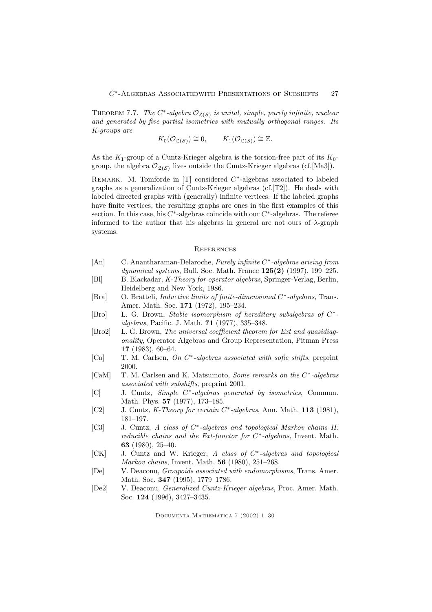THEOREM 7.7. The  $C^*$ -algebra  $\mathcal{O}_{\mathfrak{L}(\mathcal{S})}$  is unital, simple, purely infinite, nuclear and generated by five partial isometries with mutually orthogonal ranges. Its K-groups are

$$
K_0(\mathcal{O}_{\mathfrak{L}(\mathcal{S})}) \cong 0, \qquad K_1(\mathcal{O}_{\mathfrak{L}(\mathcal{S})}) \cong \mathbb{Z}.
$$

As the  $K_1$ -group of a Cuntz-Krieger algebra is the torsion-free part of its  $K_0$ group, the algebra  $\mathcal{O}_{\mathfrak{L}(\mathcal{S})}$  lives outside the Cuntz-Krieger algebras (cf.[Ma3]).

REMARK. M. Tomforde in [T] considered  $C^*$ -algebras associated to labeled graphs as a generalization of Cuntz-Krieger algebras (cf.[T2]). He deals with labeled directed graphs with (generally) infinite vertices. If the labeled graphs have finite vertices, the resulting graphs are ones in the first examples of this section. In this case, his  $C^*$ -algebras coincide with our  $C^*$ -algebras. The referee informed to the author that his algebras in general are not ours of  $\lambda$ -graph systems.

#### **REFERENCES**

- [An] C. Anantharaman-Delaroche, *Purely infinite C*<sup>\*</sup>-algebras arising from dynamical systems, Bull. Soc. Math. France 125(2) (1997), 199–225.
- [Bl] B. Blackadar, K-Theory for operator algebras, Springer-Verlag, Berlin, Heidelberg and New York, 1986.
- [Bra] O. Bratteli, *Inductive limits of finite-dimensional*  $C^*$ -algebras, Trans. Amer. Math. Soc. 171 (1972), 195–234.
- [Bro] L. G. Brown, *Stable isomorphism of hereditary subalgebras of*  $C^*$ algebras, Pacific. J. Math. 71 (1977), 335–348.
- [Bro2] L. G. Brown, The universal coefficient theorem for Ext and quasidiagonality, Operator Algebras and Group Representation, Pitman Press 17 (1983), 60–64.
- [Ca] T. M. Carlsen, On C<sup>\*</sup>-algebras associated with sofic shifts, preprint 2000.
- [CaM] T. M. Carlsen and K. Matsumoto, Some remarks on the C<sup>\*</sup>-algebras associated with subshifts, preprint 2001.
- [C] J. Cuntz, *Simple C*<sup>\*</sup>-algebras generated by isometries, Commun. Math. Phys. 57 (1977), 173–185.
- [C2] J. Cuntz, *K*-Theory for certain  $C^*$ -algebras, Ann. Math. **113** (1981), 181–197.
- [C3] J. Cuntz, A class of C<sup>\*</sup>-algebras and topological Markov chains II: *reducible chains and the Ext-functor for C<sup>\*</sup>-algebras*, Invent. Math. 63 (1980), 25–40.
- [CK] J. Cuntz and W. Krieger, A class of C<sup>\*</sup>-algebras and topological Markov chains, Invent. Math. 56 (1980), 251–268.
- [De] V. Deaconu, Groupoids associated with endomorphisms, Trans. Amer. Math. Soc. 347 (1995), 1779–1786.
- [De2] V. Deaconu, Generalized Cuntz-Krieger algebras, Proc. Amer. Math. Soc. 124 (1996), 3427–3435.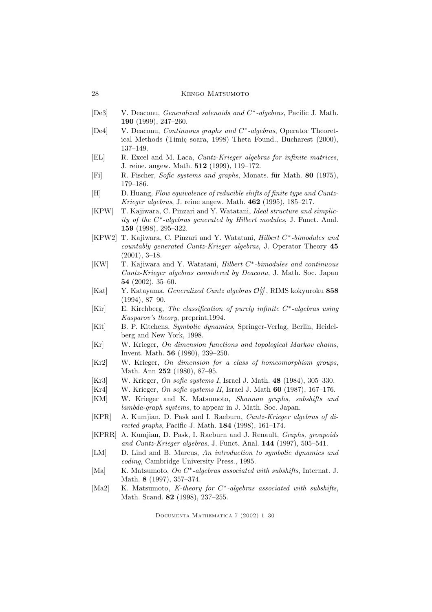#### 28 Kengo Matsumoto

- [De3] V. Deaconu, *Generalized solenoids and C<sup>\*</sup>-algebras*, Pacific J. Math. 190 (1999), 247–260.
- [De4] V. Deaconu, *Continuous graphs and C*<sup>\*</sup>-algebras, Operator Theoretical Methods (Timiç soara, 1998) Theta Found., Bucharest (2000), 137–149.
- [EL] R. Excel and M. Laca, Cuntz-Krieger algebras for infinite matrices, J. reine. angew. Math. 512 (1999), 119–172.
- [Fi] R. Fischer, Sofic systems and graphs, Monats. für Math. 80 (1975), 179–186.
- [H] D. Huang, Flow equivalence of reducible shifts of finite type and Cuntz-Krieger algebras, J. reine angew. Math. 462 (1995), 185–217.
- [KPW] T. Kajiwara, C. Pinzari and Y. Watatani, Ideal structure and simplicity of the C ∗ -algebras generated by Hilbert modules, J. Funct. Anal. 159 (1998), 295–322.
- [KPW2] T. Kajiwara, C. Pinzari and Y. Watatani, *Hilbert C<sup>\*</sup>-bimodules and* countably generated Cuntz-Krieger algebras, J. Operator Theory 45 (2001), 3–18.
- [KW] T. Kajiwara and Y. Watatani, *Hilbert C<sup>\*</sup>-bimodules and continuous* Cuntz-Krieger algebras considered by Deaconu, J. Math. Soc. Japan 54 (2002), 35–60.
- [Kat] Y. Katayama, *Generalized Cuntz algebras*  $\mathcal{O}_N^M$ , RIMS kokyuroku 858 (1994), 87–90.
- $[Kir]$  E. Kirchberg, The classification of purely infinite  $C^*$ -algebras using Kasparov's theory, preprint,1994.
- [Kit] B. P. Kitchens, Symbolic dynamics, Springer-Verlag, Berlin, Heidelberg and New York, 1998.
- [Kr] W. Krieger, On dimension functions and topological Markov chains, Invent. Math. 56 (1980), 239–250.
- [Kr2] W. Krieger, On dimension for a class of homeomorphism groups, Math. Ann 252 (1980), 87–95.
- [Kr3] W. Krieger, *On sofic systems I*, Israel J. Math. **48** (1984), 305–330.
- [Kr4] W. Krieger, On sofic systems II, Israel J. Math  $60$  (1987), 167–176.
- [KM] W. Krieger and K. Matsumoto, Shannon graphs, subshifts and lambda-graph systems, to appear in J. Math. Soc. Japan.
- [KPR] A. Kumjian, D. Pask and I. Raeburn, Cuntz-Krieger algebras of directed graphs, Pacific J. Math. 184 (1998), 161–174.
- [KPRR] A. Kumjian, D. Pask, I. Raeburn and J. Renault, Graphs, groupoids and Cuntz-Krieger algebras, J. Funct. Anal. 144 (1997), 505–541.
- [LM] D. Lind and B. Marcus, An introduction to symbolic dynamics and coding, Cambridge University Press., 1995.
- [Ma] K. Matsumoto, On C<sup>\*</sup>-algebras associated with subshifts, Internat. J. Math. 8 (1997), 357–374.
- [Ma2] K. Matsumoto, K-theory for C<sup>\*</sup>-algebras associated with subshifts, Math. Scand. 82 (1998), 237–255.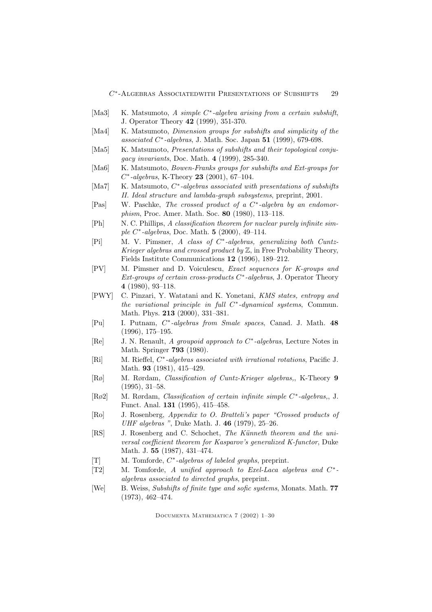- [Ma3] K. Matsumoto, A simple C<sup>\*</sup>-algebra arising from a certain subshift, J. Operator Theory 42 (1999), 351-370.
- [Ma4] K. Matsumoto, *Dimension groups for subshifts and simplicity of the* associated  $C^*$ -algebras, J. Math. Soc. Japan  $51$  (1999), 679-698.
- [Ma5] K. Matsumoto, Presentations of subshifts and their topological conjugacy invariants, Doc. Math. 4 (1999), 285-340.
- [Ma6] K. Matsumoto, *Bowen-Franks groups for subshifts and Ext-groups for*  $C^*$ -algebras, K-Theory 23 (2001), 67–104.
- [Ma7] K. Matsumoto,  $C^*$ -algebras associated with presentations of subshifts II. Ideal structure and lambda-graph subsystems, preprint, 2001.
- [Pas] W. Paschke, The crossed product of a C<sup>\*</sup>-algebra by an endomorphism, Proc. Amer. Math. Soc. 80 (1980), 113–118.
- [Ph] N. C. Phillips, A classification theorem for nuclear purely infinite simple  $C^*$ -algebras, Doc. Math. **5** (2000), 49–114.
- [Pi] M. V. Pimsner, A class of C<sup>\*</sup>-algebras, generalizing both Cuntz-Krieger algebras and crossed product by  $\mathbb Z$ , in Free Probability Theory, Fields Institute Communications 12 (1996), 189–212.
- [PV] M. Pimsner and D. Voiculescu, Exact sequences for K-groups and  $Ext\text{-}groups of certain cross-products C*-algebras, J. Operator Theory$ 4 (1980), 93–118.
- [PWY] C. Pinzari, Y. Watatani and K. Yonetani, KMS states, entropy and the variational principle in full  $C^*$ -dynamical systems, Commun. Math. Phys. 213 (2000), 331–381.
- [Pu] I. Putnam,  $C^*$ -algebras from Smale spaces, Canad. J. Math. 48 (1996), 175–195.
- [Re] J. N. Renault, A groupoid approach to C<sup>\*</sup>-algebras, Lecture Notes in Math. Springer 793 (1980).
- [Ri] M. Rieffel,  $C^*$ -algebras associated with irrational rotations, Pacific J. Math. 93 (1981), 415–429.
- [Rø] M. Rørdam, Classification of Cuntz-Krieger algebras,, K-Theory 9 (1995), 31–58.
- [Rø2] M. Rørdam, *Classification of certain infinite simple C*<sup>\*</sup>-algebras, J. Funct. Anal. 131 (1995), 415–458.
- [Ro] J. Rosenberg, Appendix to O. Bratteli's paper "Crossed products of UHF algebras ", Duke Math. J. 46 (1979), 25–26.
- [RS] J. Rosenberg and C. Schochet, The Künneth theorem and the universal coefficient theorem for Kasparov's generalized K-functor, Duke Math. J. 55 (1987), 431–474.
- [T] M. Tomforde,  $C^*$ -algebras of labeled graphs, preprint.
- [T2] M. Tomforde, A unified approach to Exel-Laca algebras and  $C^*$ algebras associated to directed graphs, preprint.
- [We] B. Weiss, Subshifts of finite type and sofic systems, Monats. Math. 77 (1973), 462–474.